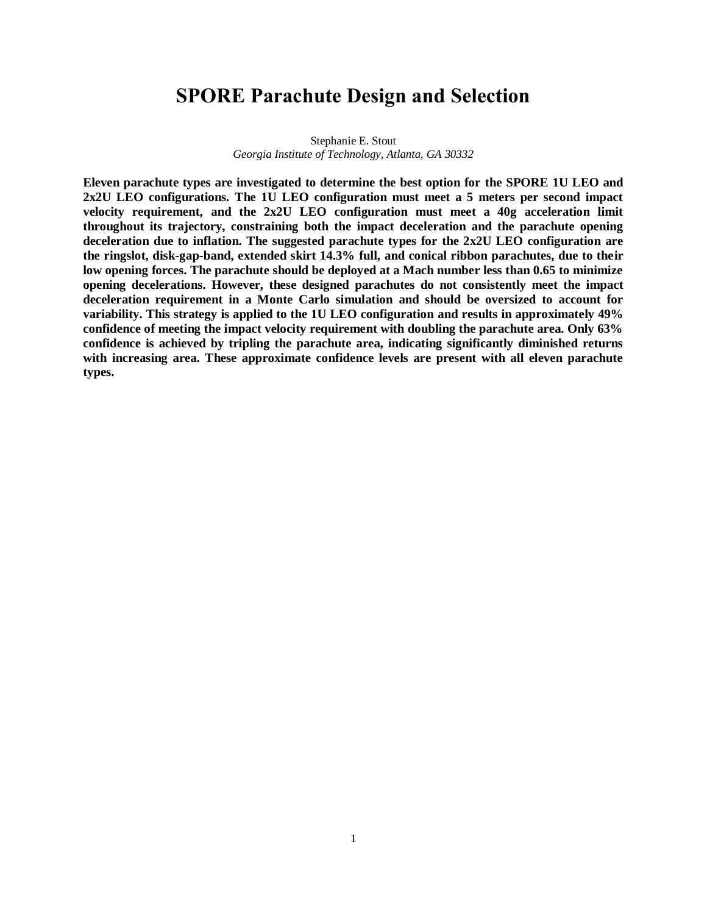## **SPORE Parachute Design and Selection**

Stephanie E. Stout *Georgia Institute of Technology, Atlanta, GA 30332*

**Eleven parachute types are investigated to determine the best option for the SPORE 1U LEO and 2x2U LEO configurations. The 1U LEO configuration must meet a 5 meters per second impact velocity requirement, and the 2x2U LEO configuration must meet a 40g acceleration limit throughout its trajectory, constraining both the impact deceleration and the parachute opening deceleration due to inflation. The suggested parachute types for the 2x2U LEO configuration are the ringslot, disk-gap-band, extended skirt 14.3% full, and conical ribbon parachutes, due to their low opening forces. The parachute should be deployed at a Mach number less than 0.65 to minimize opening decelerations. However, these designed parachutes do not consistently meet the impact deceleration requirement in a Monte Carlo simulation and should be oversized to account for variability. This strategy is applied to the 1U LEO configuration and results in approximately 49% confidence of meeting the impact velocity requirement with doubling the parachute area. Only 63% confidence is achieved by tripling the parachute area, indicating significantly diminished returns with increasing area. These approximate confidence levels are present with all eleven parachute types.**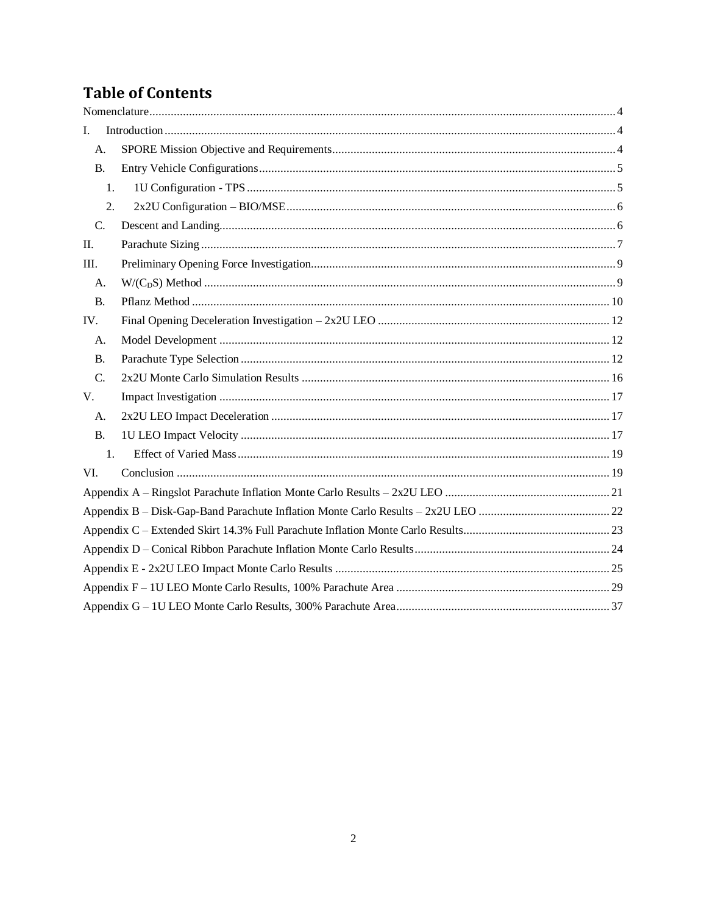# **Table of Contents**

| I.             |  |
|----------------|--|
| A.             |  |
| <b>B.</b>      |  |
| 1.             |  |
| 2.             |  |
| $C_{\cdot}$    |  |
| II.            |  |
| Ш.             |  |
| A.             |  |
| <b>B.</b>      |  |
| IV.            |  |
| A.             |  |
| B.             |  |
| C.             |  |
| V.             |  |
| A <sub>1</sub> |  |
| B.             |  |
| 1.             |  |
| VI.            |  |
|                |  |
|                |  |
|                |  |
|                |  |
|                |  |
|                |  |
|                |  |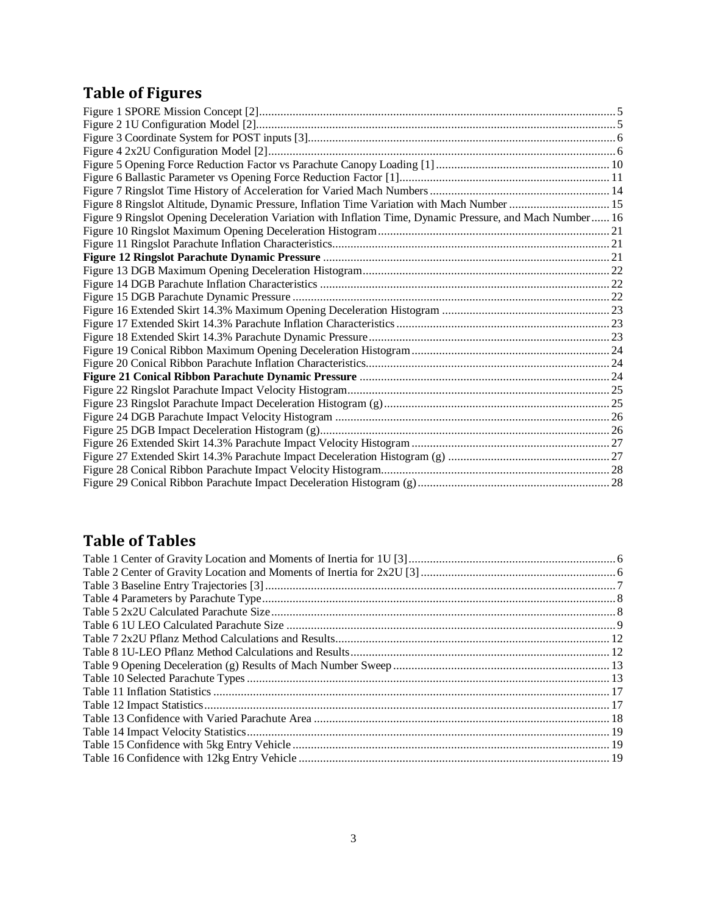# **Table of Figures**

| Figure 8 Ringslot Altitude, Dynamic Pressure, Inflation Time Variation with Mach Number  15                |  |
|------------------------------------------------------------------------------------------------------------|--|
| Figure 9 Ringslot Opening Deceleration Variation with Inflation Time, Dynamic Pressure, and Mach Number 16 |  |
|                                                                                                            |  |
|                                                                                                            |  |
|                                                                                                            |  |
|                                                                                                            |  |
|                                                                                                            |  |
|                                                                                                            |  |
|                                                                                                            |  |
|                                                                                                            |  |
|                                                                                                            |  |
|                                                                                                            |  |
|                                                                                                            |  |
|                                                                                                            |  |
|                                                                                                            |  |
|                                                                                                            |  |
|                                                                                                            |  |
|                                                                                                            |  |
|                                                                                                            |  |
|                                                                                                            |  |
|                                                                                                            |  |
|                                                                                                            |  |

## **Table of Tables**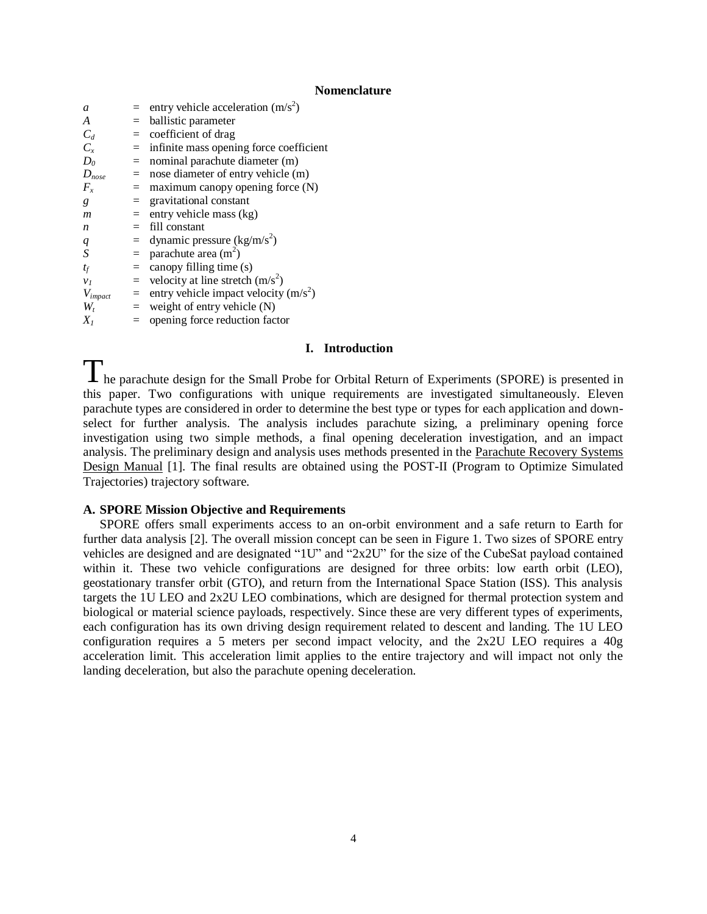#### **Nomenclature**

<span id="page-3-0"></span>

| a              |     | entry vehicle acceleration $(m/s^2)$    |
|----------------|-----|-----------------------------------------|
| A              |     | ballistic parameter                     |
| $C_d$          | $=$ | coefficient of drag                     |
| $C_{r}$        | $=$ | infinite mass opening force coefficient |
| $D_0$          | $=$ | nominal parachute diameter (m)          |
| $D_{nose}$     | $=$ | nose diameter of entry vehicle (m)      |
| $F_{x}$        |     | $=$ maximum canopy opening force (N)    |
| g              | $=$ | gravitational constant                  |
| m              | $=$ | entry vehicle mass (kg)                 |
| n              |     | fill constant                           |
| q              | $=$ | dynamic pressure $(kg/m/s^2)$           |
| S              | $=$ | parachute area $(m2)$                   |
| $t_f$          | $=$ | canopy filling time (s)                 |
| v <sub>1</sub> | $=$ | velocity at line stretch $(m/s^2)$      |
| $V_{impact}$   | $=$ | entry vehicle impact velocity $(m/s^2)$ |
| W,             | $=$ | weight of entry vehicle (N)             |
| $X_{I}$        |     | $=$ opening force reduction factor      |

#### **I. Introduction**

<span id="page-3-1"></span>The parachute design for the Small Probe for Orbital Return of Experiments (SPORE) is presented in this paper. Two configurations with unique requirements are investigated simultaneously. Eleven parachute types are considered in order to determine the best type or types for each application and downselect for further analysis. The analysis includes parachute sizing, a preliminary opening force investigation using two simple methods, a final opening deceleration investigation, and an impact analysis. The preliminary design and analysis uses methods presented in the Parachute Recovery Systems Design Manual [1]. The final results are obtained using the POST-II (Program to Optimize Simulated Trajectories) trajectory software.

#### <span id="page-3-2"></span>**A. SPORE Mission Objective and Requirements**

SPORE offers small experiments access to an on-orbit environment and a safe return to Earth for further data analysis [2]. The overall mission concept can be seen in [Figure 1.](#page-4-2) Two sizes of SPORE entry vehicles are designed and are designated "1U" and "2x2U" for the size of the CubeSat payload contained within it. These two vehicle configurations are designed for three orbits: low earth orbit (LEO), geostationary transfer orbit (GTO), and return from the International Space Station (ISS). This analysis targets the 1U LEO and 2x2U LEO combinations, which are designed for thermal protection system and biological or material science payloads, respectively. Since these are very different types of experiments, each configuration has its own driving design requirement related to descent and landing. The 1U LEO configuration requires a 5 meters per second impact velocity, and the 2x2U LEO requires a 40g acceleration limit. This acceleration limit applies to the entire trajectory and will impact not only the landing deceleration, but also the parachute opening deceleration.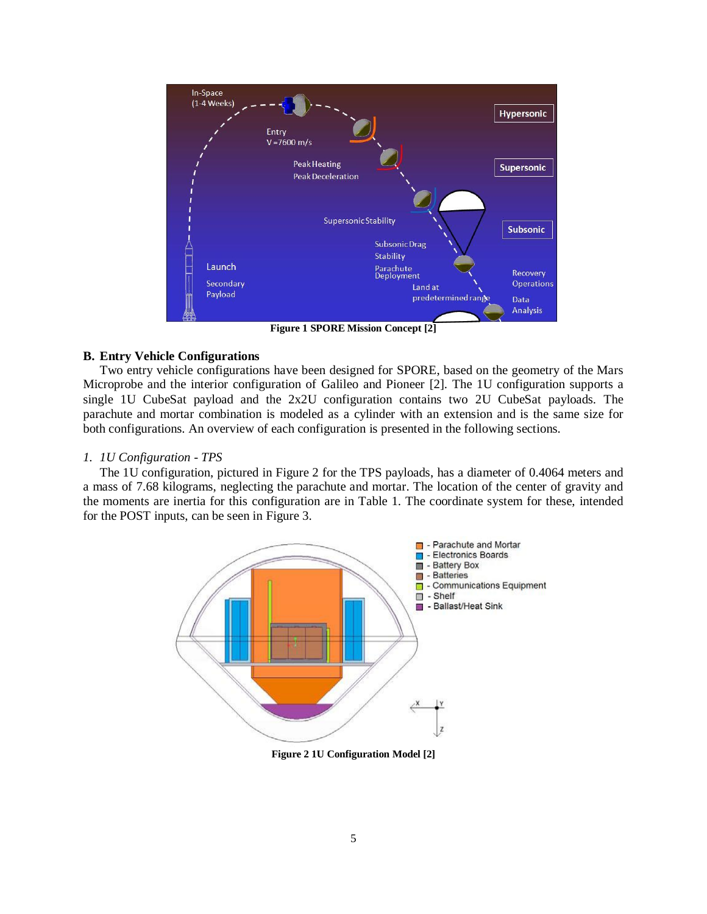

**Figure 1 SPORE Mission Concept [2]**

#### <span id="page-4-2"></span><span id="page-4-0"></span>**B. Entry Vehicle Configurations**

Two entry vehicle configurations have been designed for SPORE, based on the geometry of the Mars Microprobe and the interior configuration of Galileo and Pioneer [2]. The 1U configuration supports a single 1U CubeSat payload and the 2x2U configuration contains two 2U CubeSat payloads. The parachute and mortar combination is modeled as a cylinder with an extension and is the same size for both configurations. An overview of each configuration is presented in the following sections.

#### <span id="page-4-1"></span>*1. 1U Configuration - TPS*

The 1U configuration, pictured in [Figure 2](#page-4-3) for the TPS payloads, has a diameter of 0.4064 meters and a mass of 7.68 kilograms, neglecting the parachute and mortar. The location of the center of gravity and the moments are inertia for this configuration are in [Table 1.](#page-5-4) The coordinate system for these, intended for the POST inputs, can be seen in [Figure 3.](#page-5-2)



<span id="page-4-3"></span>**Figure 2 1U Configuration Model [2]**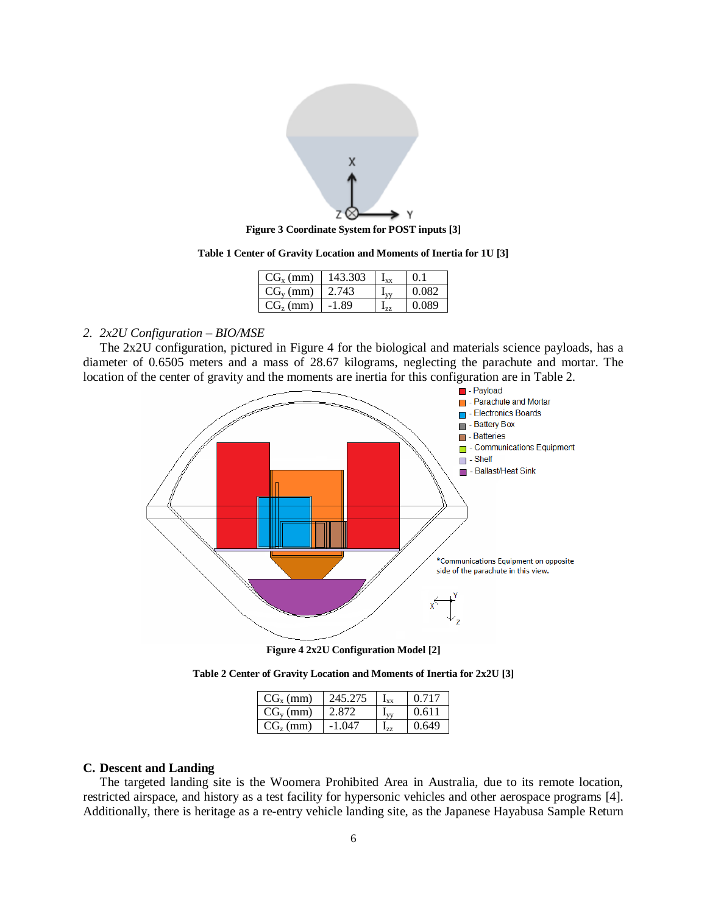

**Figure 3 Coordinate System for POST inputs [3]**

**Table 1 Center of Gravity Location and Moments of Inertia for 1U [3]**

| $CG_{x}(mm)$  | 143.303 | Lxx             | $^{\circ}$ |
|---------------|---------|-----------------|------------|
| $CG_{v}$ (mm) | 2.743   |                 | 0.082      |
| $CG_{2}(mm)$  | -1.89   | L <sub>77</sub> | 0.089      |

### <span id="page-5-4"></span><span id="page-5-2"></span><span id="page-5-0"></span>*2. 2x2U Configuration – BIO/MSE*

The 2x2U configuration, pictured in [Figure 4](#page-5-3) for the biological and materials science payloads, has a diameter of 0.6505 meters and a mass of 28.67 kilograms, neglecting the parachute and mortar. The location of the center of gravity and the moments are inertia for this configuration are in [Table 2.](#page-5-5)





<span id="page-5-3"></span>**Table 2 Center of Gravity Location and Moments of Inertia for 2x2U [3]**

| $CG_{x}$ (mm) | 245.275  | $\mathbf{I}_{\mathbf{xx}}$ | 0.717 |
|---------------|----------|----------------------------|-------|
| $CG_v$ (mm)   | 2.872    |                            | 0.611 |
| $CG_{2}(mm)$  | $-1.047$ | $1_{77}$                   | 0.649 |

#### <span id="page-5-5"></span><span id="page-5-1"></span>**C. Descent and Landing**

The targeted landing site is the Woomera Prohibited Area in Australia, due to its remote location, restricted airspace, and history as a test facility for hypersonic vehicles and other aerospace programs [4]. Additionally, there is heritage as a re-entry vehicle landing site, as the Japanese Hayabusa Sample Return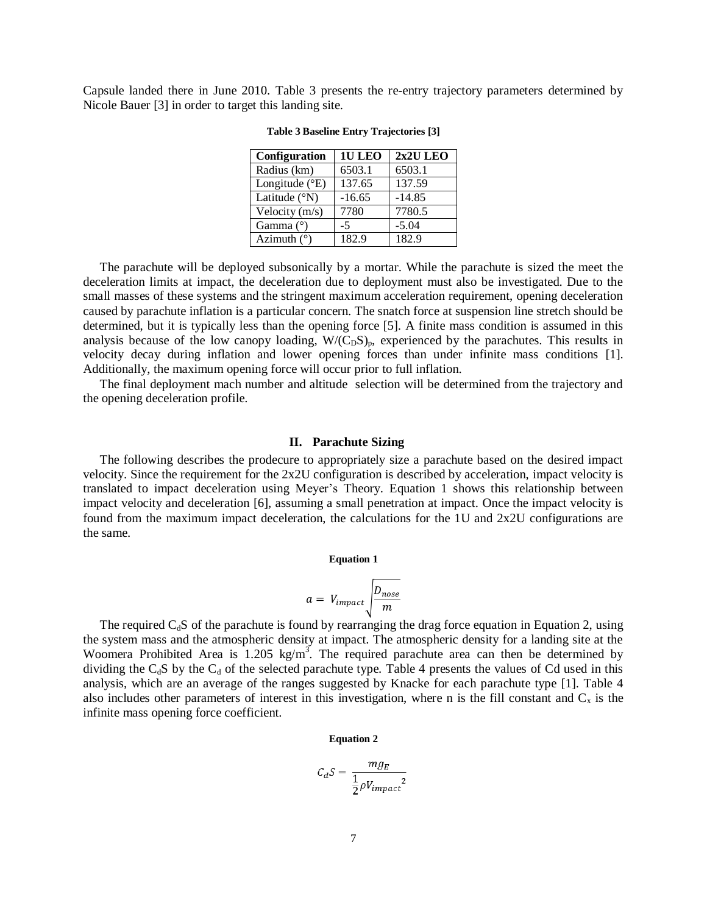<span id="page-6-1"></span>Capsule landed there in June 2010. [Table 3](#page-6-1) presents the re-entry trajectory parameters determined by Nicole Bauer [3] in order to target this landing site.

| Configuration           | 1U LEO   | 2x2U LEO |
|-------------------------|----------|----------|
| Radius (km)             | 6503.1   | 6503.1   |
| Longitude $(^{\circ}E)$ | 137.65   | 137.59   |
| Latitude $(^{\circ}N)$  | $-16.65$ | $-14.85$ |
| Velocity (m/s)          | 7780     | 7780.5   |
| Gamma $(°)$             | $-5$     | $-5.04$  |
| Azimuth $(°)$           | 182.9    | 182.9    |

**Table 3 Baseline Entry Trajectories [3]**

The parachute will be deployed subsonically by a mortar. While the parachute is sized the meet the deceleration limits at impact, the deceleration due to deployment must also be investigated. Due to the small masses of these systems and the stringent maximum acceleration requirement, opening deceleration caused by parachute inflation is a particular concern. The snatch force at suspension line stretch should be determined, but it is typically less than the opening force [5]. A finite mass condition is assumed in this analysis because of the low canopy loading,  $W/(C_D S)_p$ , experienced by the parachutes. This results in velocity decay during inflation and lower opening forces than under infinite mass conditions [1]. Additionally, the maximum opening force will occur prior to full inflation.

The final deployment mach number and altitude selection will be determined from the trajectory and the opening deceleration profile.

#### **II. Parachute Sizing**

<span id="page-6-0"></span>The following describes the prodecure to appropriately size a parachute based on the desired impact velocity. Since the requirement for the 2x2U configuration is described by acceleration, impact velocity is translated to impact deceleration using Meyer's Theory. [Equation 1](#page-6-2) shows this relationship between impact velocity and deceleration [6], assuming a small penetration at impact. Once the impact velocity is found from the maximum impact deceleration, the calculations for the 1U and 2x2U configurations are the same.

#### **Equation 1**

$$
a = V_{impact} \sqrt{\frac{D_{nose}}{m}}
$$

<span id="page-6-3"></span><span id="page-6-2"></span>The required  $C_dS$  of the parachute is found by rearranging the drag force equation in [Equation 2,](#page-6-3) using the system mass and the atmospheric density at impact. The atmospheric density for a landing site at the Woomera Prohibited Area is  $1.205 \text{ kg/m}^3$ . The required parachute area can then be determined by dividing the  $C_dS$  by the  $C_d$  of the selected parachute type. [Table 4](#page-7-0) presents the values of Cd used in this analysis, which are an average of the ranges suggested by Knacke for each parachute type [1]. [Table 4](#page-7-0) also includes other parameters of interest in this investigation, where n is the fill constant and  $C_x$  is the infinite mass opening force coefficient.

#### **Equation 2**

$$
C_d S = \frac{mg_E}{\frac{1}{2}\rho V_{impact}^2}
$$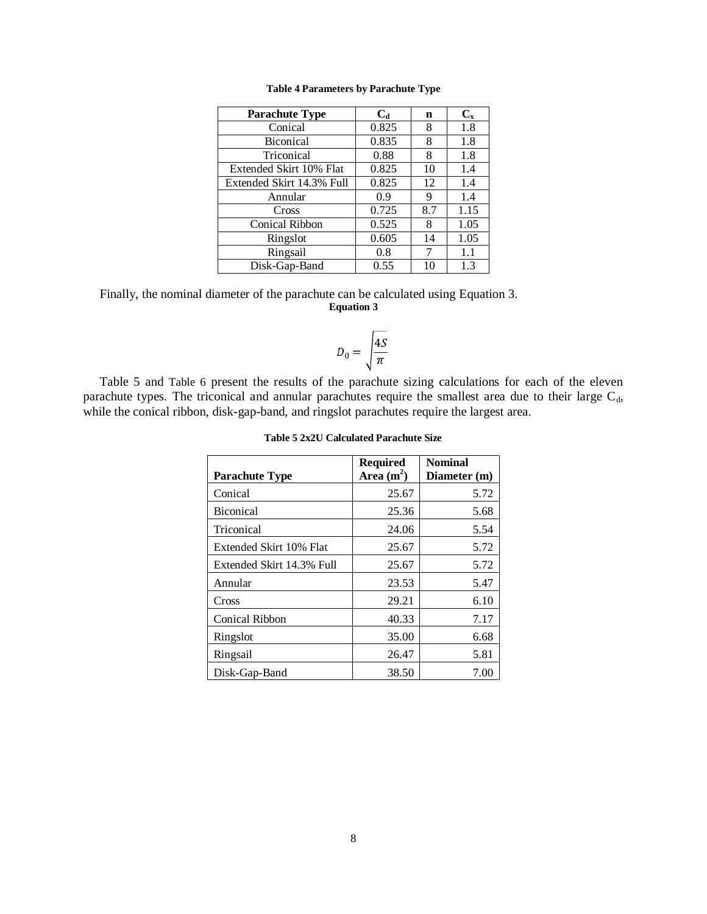<span id="page-7-0"></span>

| <b>Parachute Type</b>     | $C_{d}$ | n   | $C_{x}$ |
|---------------------------|---------|-----|---------|
| Conical                   | 0.825   | 8   | 1.8     |
| Biconical                 | 0.835   | 8   | 1.8     |
| Triconical                | 0.88    | 8   | 1.8     |
| Extended Skirt 10% Flat   | 0.825   | 10  | 1.4     |
| Extended Skirt 14.3% Full | 0.825   | 12  | 1.4     |
| Annular                   | 0.9     | 9   | 1.4     |
| Cross                     | 0.725   | 8.7 | 1.15    |
| Conical Ribbon            | 0.525   | 8   | 1.05    |
| Ringslot                  | 0.605   | 14  | 1.05    |
| Ringsail                  | 0.8     | 7   | 1.1     |
| Disk-Gap-Band             | 0.55    | 10  | 1.3     |

<span id="page-7-2"></span>Finally, the nominal diameter of the parachute can be calculated using [Equation 3.](#page-7-2) **Equation 3**

$$
D_0 = \sqrt{\frac{4S}{\pi}}
$$

<span id="page-7-1"></span>[Table 5](#page-7-1) and [Table 6](#page-8-2) present the results of the parachute sizing calculations for each of the eleven parachute types. The triconical and annular parachutes require the smallest area due to their large  $C_d$ , while the conical ribbon, disk-gap-band, and ringslot parachutes require the largest area.

|                           | Required    | <b>Nominal</b> |
|---------------------------|-------------|----------------|
| <b>Parachute Type</b>     | Area $(m2)$ | Diameter (m)   |
| Conical                   | 25.67       | 5.72           |
| <b>Biconical</b>          | 25.36       | 5.68           |
| Triconical                | 24.06       | 5.54           |
| Extended Skirt 10% Flat   | 25.67       | 5.72           |
| Extended Skirt 14.3% Full | 25.67       | 5.72           |
| Annular                   | 23.53       | 5.47           |
| Cross                     | 29.21       | 6.10           |
| <b>Conical Ribbon</b>     | 40.33       | 7.17           |
| Ringslot                  | 35.00       | 6.68           |
| Ringsail                  | 26.47       | 5.81           |
| Disk-Gap-Band             | 38.50       | 7.00           |

**Table 5 2x2U Calculated Parachute Size**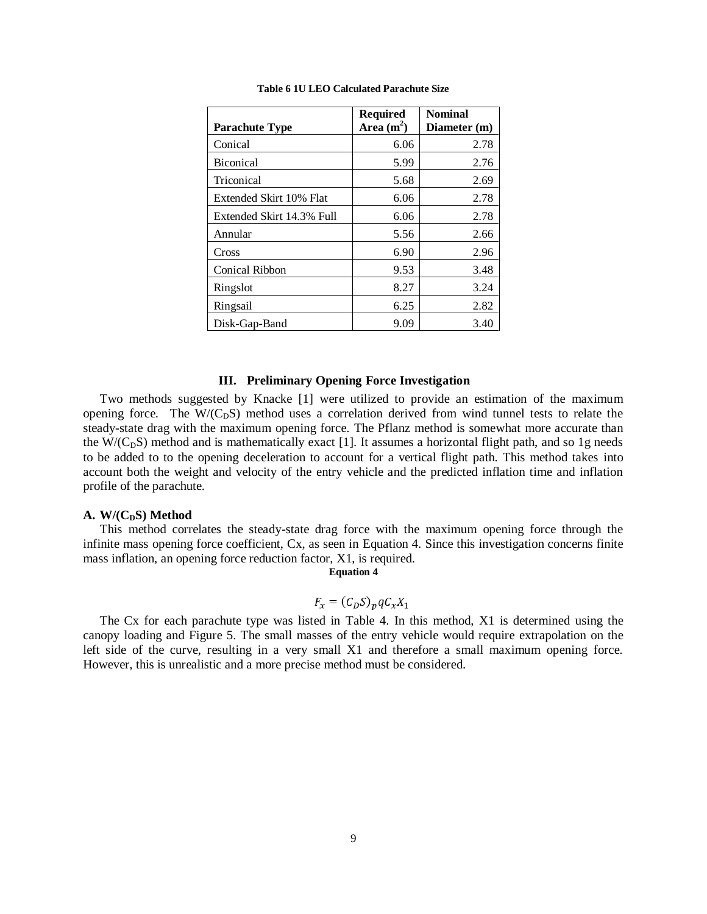<span id="page-8-2"></span>

|                           | <b>Required</b> | <b>Nominal</b> |
|---------------------------|-----------------|----------------|
| <b>Parachute Type</b>     | Area $(m^2)$    | Diameter (m)   |
| Conical                   | 6.06            | 2.78           |
| <b>Biconical</b>          | 5.99            | 2.76           |
| Triconical                | 5.68            | 2.69           |
| Extended Skirt 10% Flat   | 6.06            | 2.78           |
| Extended Skirt 14.3% Full | 6.06            | 2.78           |
| Annular                   | 5.56            | 2.66           |
| Cross                     | 6.90            | 2.96           |
| <b>Conical Ribbon</b>     | 9.53            | 3.48           |
| Ringslot                  | 8.27            | 3.24           |
| Ringsail                  | 6.25            | 2.82           |
| Disk-Gap-Band             | 9.09            | 3.40           |

**Table 6 1U LEO Calculated Parachute Size**

#### **III. Preliminary Opening Force Investigation**

<span id="page-8-0"></span>Two methods suggested by Knacke [1] were utilized to provide an estimation of the maximum opening force. The  $W/(C<sub>D</sub>S)$  method uses a correlation derived from wind tunnel tests to relate the steady-state drag with the maximum opening force. The Pflanz method is somewhat more accurate than the W/( $C<sub>D</sub>S$ ) method and is mathematically exact [1]. It assumes a horizontal flight path, and so 1g needs to be added to to the opening deceleration to account for a vertical flight path. This method takes into account both the weight and velocity of the entry vehicle and the predicted inflation time and inflation profile of the parachute.

#### <span id="page-8-1"></span>A. **W/(C<sub>D</sub>S) Method**

<span id="page-8-3"></span>This method correlates the steady-state drag force with the maximum opening force through the infinite mass opening force coefficient, Cx, as seen in [Equation 4.](#page-8-3) Since this investigation concerns finite mass inflation, an opening force reduction factor, X1, is required.

#### **Equation 4**

### $F_x = (C_D S)_p q C_x X_1$

The Cx for each parachute type was listed in [Table 4.](#page-7-0) In this method, X1 is determined using the canopy loading and [Figure 5.](#page-9-1) The small masses of the entry vehicle would require extrapolation on the left side of the curve, resulting in a very small X1 and therefore a small maximum opening force. However, this is unrealistic and a more precise method must be considered.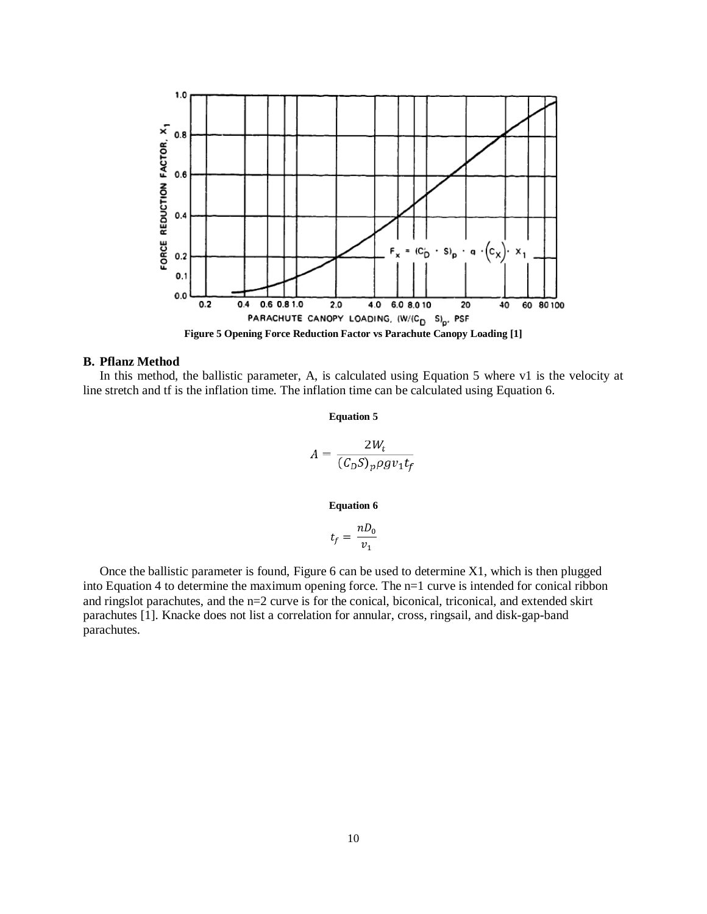

#### <span id="page-9-1"></span><span id="page-9-0"></span>**B. Pflanz Method**

<span id="page-9-2"></span>In this method, the ballistic parameter, A, is calculated using [Equation 5](#page-9-2) where v1 is the velocity at line stretch and tf is the inflation time. The inflation time can be calculated using [Equation 6.](#page-9-3)

**Equation 5**

$$
A = \frac{2W_t}{(C_D S)_p \rho g v_1 t_f}
$$

**Equation 6**

$$
t_f = \frac{nD_0}{v_1}
$$

<span id="page-9-3"></span>Once the ballistic parameter is found, [Figure 6](#page-10-0) can be used to determine X1, which is then plugged into [Equation 4](#page-8-3) to determine the maximum opening force. The n=1 curve is intended for conical ribbon and ringslot parachutes, and the n=2 curve is for the conical, biconical, triconical, and extended skirt parachutes [1]. Knacke does not list a correlation for annular, cross, ringsail, and disk-gap-band parachutes.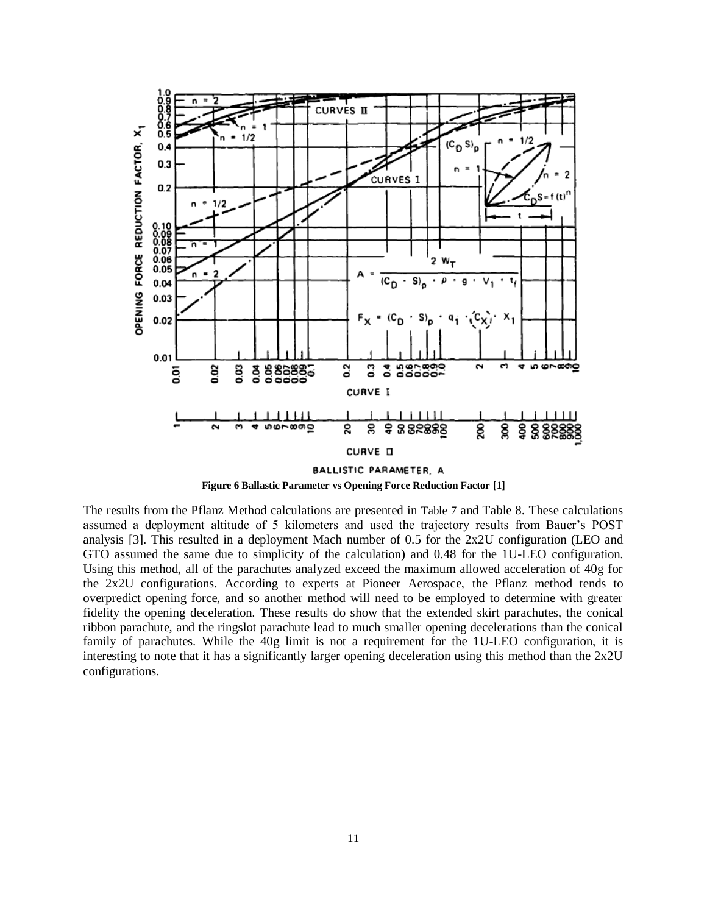

**Figure 6 Ballastic Parameter vs Opening Force Reduction Factor [1]**

<span id="page-10-0"></span>The results from the Pflanz Method calculations are presented in [Table 7](#page-11-3) and [Table 8.](#page-11-4) These calculations assumed a deployment altitude of 5 kilometers and used the trajectory results from Bauer's POST analysis [3]. This resulted in a deployment Mach number of 0.5 for the 2x2U configuration (LEO and GTO assumed the same due to simplicity of the calculation) and 0.48 for the 1U-LEO configuration. Using this method, all of the parachutes analyzed exceed the maximum allowed acceleration of 40g for the 2x2U configurations. According to experts at Pioneer Aerospace, the Pflanz method tends to overpredict opening force, and so another method will need to be employed to determine with greater fidelity the opening deceleration. These results do show that the extended skirt parachutes, the conical ribbon parachute, and the ringslot parachute lead to much smaller opening decelerations than the conical family of parachutes. While the 40g limit is not a requirement for the 1U-LEO configuration, it is interesting to note that it has a significantly larger opening deceleration using this method than the 2x2U configurations.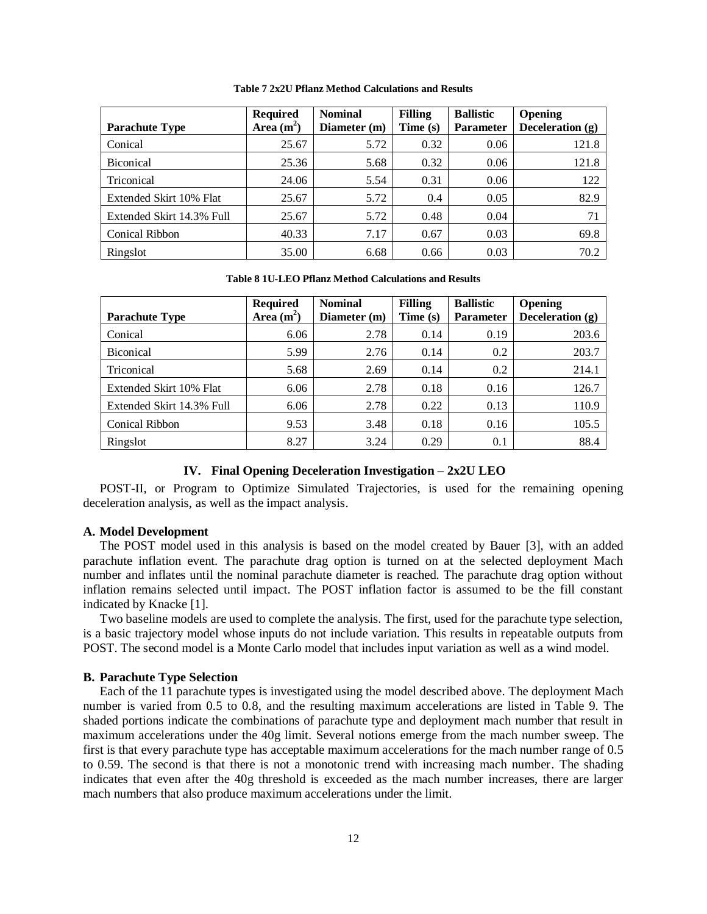<span id="page-11-3"></span>

| <b>Parachute Type</b>     | <b>Required</b><br>Area $(m^2)$ | <b>Nominal</b><br>Diameter (m) | <b>Filling</b><br>Time (s) | <b>Ballistic</b><br><b>Parameter</b> | Opening<br>Deceleration $(g)$ |
|---------------------------|---------------------------------|--------------------------------|----------------------------|--------------------------------------|-------------------------------|
|                           |                                 |                                |                            |                                      |                               |
| Conical                   | 25.67                           | 5.72                           | 0.32                       | 0.06                                 | 121.8                         |
| <b>Biconical</b>          | 25.36                           | 5.68                           | 0.32                       | 0.06                                 | 121.8                         |
| Triconical                | 24.06                           | 5.54                           | 0.31                       | 0.06                                 | 122                           |
| Extended Skirt 10% Flat   | 25.67                           | 5.72                           | 0.4                        | 0.05                                 | 82.9                          |
| Extended Skirt 14.3% Full | 25.67                           | 5.72                           | 0.48                       | 0.04                                 | 71                            |
| Conical Ribbon            | 40.33                           | 7.17                           | 0.67                       | 0.03                                 | 69.8                          |
| Ringslot                  | 35.00                           | 6.68                           | 0.66                       | 0.03                                 | 70.2                          |

**Table 7 2x2U Pflanz Method Calculations and Results**

**Table 8 1U-LEO Pflanz Method Calculations and Results**

<span id="page-11-4"></span>

| <b>Parachute Type</b>     | <b>Required</b><br>Area $(m2)$ | <b>Nominal</b><br>Diameter (m) | <b>Filling</b><br>Time (s) | <b>Ballistic</b><br><b>Parameter</b> | Opening<br>Deceleration (g) |
|---------------------------|--------------------------------|--------------------------------|----------------------------|--------------------------------------|-----------------------------|
| Conical                   | 6.06                           | 2.78                           | 0.14                       | 0.19                                 | 203.6                       |
| <b>Biconical</b>          | 5.99                           | 2.76                           | 0.14                       | 0.2                                  | 203.7                       |
| Triconical                | 5.68                           | 2.69                           | 0.14                       | 0.2                                  | 214.1                       |
| Extended Skirt 10% Flat   | 6.06                           | 2.78                           | 0.18                       | 0.16                                 | 126.7                       |
| Extended Skirt 14.3% Full | 6.06                           | 2.78                           | 0.22                       | 0.13                                 | 110.9                       |
| Conical Ribbon            | 9.53                           | 3.48                           | 0.18                       | 0.16                                 | 105.5                       |
| Ringslot                  | 8.27                           | 3.24                           | 0.29                       | 0.1                                  | 88.4                        |

#### **IV. Final Opening Deceleration Investigation – 2x2U LEO**

<span id="page-11-0"></span>POST-II, or Program to Optimize Simulated Trajectories, is used for the remaining opening deceleration analysis, as well as the impact analysis.

#### <span id="page-11-1"></span>**A. Model Development**

The POST model used in this analysis is based on the model created by Bauer [3], with an added parachute inflation event. The parachute drag option is turned on at the selected deployment Mach number and inflates until the nominal parachute diameter is reached. The parachute drag option without inflation remains selected until impact. The POST inflation factor is assumed to be the fill constant indicated by Knacke [1].

Two baseline models are used to complete the analysis. The first, used for the parachute type selection, is a basic trajectory model whose inputs do not include variation. This results in repeatable outputs from POST. The second model is a Monte Carlo model that includes input variation as well as a wind model.

#### <span id="page-11-2"></span>**B. Parachute Type Selection**

Each of the 11 parachute types is investigated using the model described above. The deployment Mach number is varied from 0.5 to 0.8, and the resulting maximum accelerations are listed in [Table 9.](#page-12-0) The shaded portions indicate the combinations of parachute type and deployment mach number that result in maximum accelerations under the 40g limit. Several notions emerge from the mach number sweep. The first is that every parachute type has acceptable maximum accelerations for the mach number range of 0.5 to 0.59. The second is that there is not a monotonic trend with increasing mach number. The shading indicates that even after the 40g threshold is exceeded as the mach number increases, there are larger mach numbers that also produce maximum accelerations under the limit.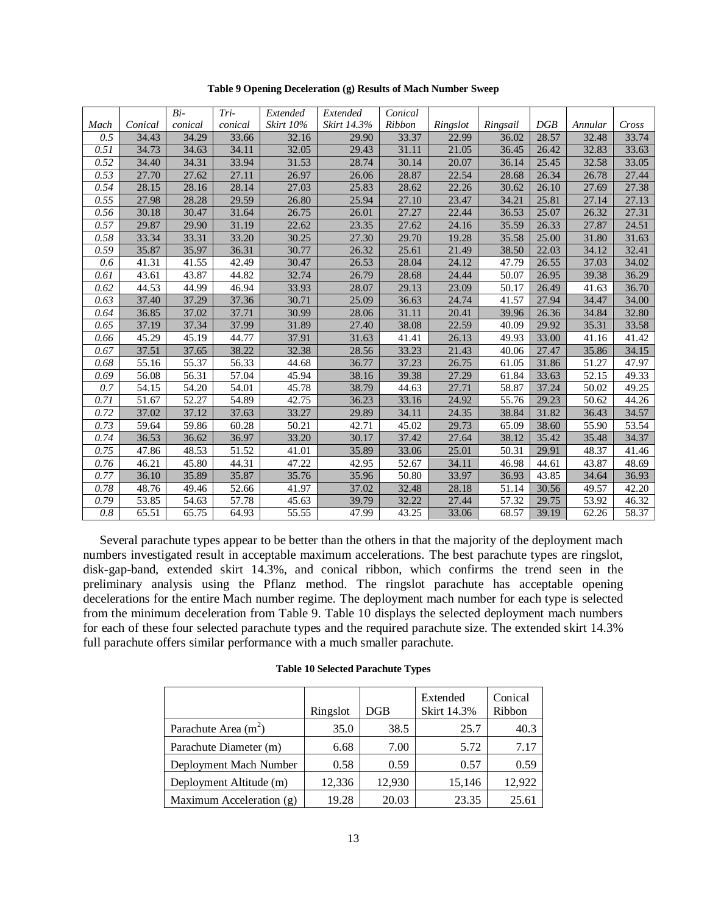<span id="page-12-0"></span>

|                  |                    | $Bi-$   | Tri-    | Extended         | Extended    | Conical |          |          |       |         |       |
|------------------|--------------------|---------|---------|------------------|-------------|---------|----------|----------|-------|---------|-------|
| Mach             | Conical            | conical | conical | <b>Skirt 10%</b> | Skirt 14.3% | Ribbon  | Ringslot | Ringsail | DGB   | Annular | Cross |
| 0.5              | 34.43              | 34.29   | 33.66   | 32.16            | 29.90       | 33.37   | 22.99    | 36.02    | 28.57 | 32.48   | 33.74 |
| 0.51             | 34.73              | 34.63   | 34.11   | 32.05            | 29.43       | 31.11   | 21.05    | 36.45    | 26.42 | 32.83   | 33.63 |
| 0.52             | 34.40              | 34.31   | 33.94   | 31.53            | 28.74       | 30.14   | 20.07    | 36.14    | 25.45 | 32.58   | 33.05 |
| 0.53             | 27.70              | 27.62   | 27.11   | 26.97            | 26.06       | 28.87   | 22.54    | 28.68    | 26.34 | 26.78   | 27.44 |
| 0.54             | 28.15              | 28.16   | 28.14   | 27.03            | 25.83       | 28.62   | 22.26    | 30.62    | 26.10 | 27.69   | 27.38 |
| 0.55             | 27.98              | 28.28   | 29.59   | 26.80            | 25.94       | 27.10   | 23.47    | 34.21    | 25.81 | 27.14   | 27.13 |
| 0.56             | 30.18              | 30.47   | 31.64   | 26.75            | 26.01       | 27.27   | 22.44    | 36.53    | 25.07 | 26.32   | 27.31 |
| 0.57             | 29.87              | 29.90   | 31.19   | 22.62            | 23.35       | 27.62   | 24.16    | 35.59    | 26.33 | 27.87   | 24.51 |
| 0.58             | 33.34              | 33.31   | 33.20   | 30.25            | 27.30       | 29.70   | 19.28    | 35.58    | 25.00 | 31.80   | 31.63 |
| 0.59             | 35.87              | 35.97   | 36.31   | 30.77            | 26.32       | 25.61   | 21.49    | 38.50    | 22.03 | 34.12   | 32.41 |
| 0.6              | 41.31              | 41.55   | 42.49   | 30.47            | 26.53       | 28.04   | 24.12    | 47.79    | 26.55 | 37.03   | 34.02 |
| 0.61             | $\overline{43.61}$ | 43.87   | 44.82   | 32.74            | 26.79       | 28.68   | 24.44    | 50.07    | 26.95 | 39.38   | 36.29 |
| 0.62             | 44.53              | 44.99   | 46.94   | 33.93            | 28.07       | 29.13   | 23.09    | 50.17    | 26.49 | 41.63   | 36.70 |
| 0.63             | 37.40              | 37.29   | 37.36   | 30.71            | 25.09       | 36.63   | 24.74    | 41.57    | 27.94 | 34.47   | 34.00 |
| 0.64             | 36.85              | 37.02   | 37.71   | 30.99            | 28.06       | 31.11   | 20.41    | 39.96    | 26.36 | 34.84   | 32.80 |
| 0.65             | 37.19              | 37.34   | 37.99   | 31.89            | 27.40       | 38.08   | 22.59    | 40.09    | 29.92 | 35.31   | 33.58 |
| 0.66             | 45.29              | 45.19   | 44.77   | 37.91            | 31.63       | 41.41   | 26.13    | 49.93    | 33.00 | 41.16   | 41.42 |
| 0.67             | 37.51              | 37.65   | 38.22   | 32.38            | 28.56       | 33.23   | 21.43    | 40.06    | 27.47 | 35.86   | 34.15 |
| 0.68             | $\frac{1}{55.16}$  | 55.37   | 56.33   | 44.68            | 36.77       | 37.23   | 26.75    | 61.05    | 31.86 | 51.27   | 47.97 |
| 0.69             | 56.08              | 56.31   | 57.04   | 45.94            | 38.16       | 39.38   | 27.29    | 61.84    | 33.63 | 52.15   | 49.33 |
| 0.7              | 54.15              | 54.20   | 54.01   | 45.78            | 38.79       | 44.63   | 27.71    | 58.87    | 37.24 | 50.02   | 49.25 |
| 0.71             | 51.67              | 52.27   | 54.89   | 42.75            | 36.23       | 33.16   | 24.92    | 55.76    | 29.23 | 50.62   | 44.26 |
| 0.72             | 37.02              | 37.12   | 37.63   | 33.27            | 29.89       | 34.11   | 24.35    | 38.84    | 31.82 | 36.43   | 34.57 |
| 0.73             | 59.64              | 59.86   | 60.28   | 50.21            | 42.71       | 45.02   | 29.73    | 65.09    | 38.60 | 55.90   | 53.54 |
| 0.74             | 36.53              | 36.62   | 36.97   | 33.20            | 30.17       | 37.42   | 27.64    | 38.12    | 35.42 | 35.48   | 34.37 |
| 0.75             | 47.86              | 48.53   | 51.52   | 41.01            | 35.89       | 33.06   | 25.01    | 50.31    | 29.91 | 48.37   | 41.46 |
| 0.76             | 46.21              | 45.80   | 44.31   | 47.22            | 42.95       | 52.67   | 34.11    | 46.98    | 44.61 | 43.87   | 48.69 |
| 0.77             | 36.10              | 35.89   | 35.87   | 35.76            | 35.96       | 50.80   | 33.97    | 36.93    | 43.85 | 34.64   | 36.93 |
| 0.78             | 48.76              | 49.46   | 52.66   | 41.97            | 37.02       | 32.48   | 28.18    | 51.14    | 30.56 | 49.57   | 42.20 |
| 0.79             | 53.85              | 54.63   | 57.78   | 45.63            | 39.79       | 32.22   | 27.44    | 57.32    | 29.75 | 53.92   | 46.32 |
| $\overline{0.8}$ | 65.51              | 65.75   | 64.93   | 55.55            | 47.99       | 43.25   | 33.06    | 68.57    | 39.19 | 62.26   | 58.37 |

**Table 9 Opening Deceleration (g) Results of Mach Number Sweep**

Several parachute types appear to be better than the others in that the majority of the deployment mach numbers investigated result in acceptable maximum accelerations. The best parachute types are ringslot, disk-gap-band, extended skirt 14.3%, and conical ribbon, which confirms the trend seen in the preliminary analysis using the Pflanz method. The ringslot parachute has acceptable opening decelerations for the entire Mach number regime. The deployment mach number for each type is selected from the minimum deceleration from [Table 9.](#page-12-0) [Table 10](#page-12-1) displays the selected deployment mach numbers for each of these four selected parachute types and the required parachute size. The extended skirt 14.3% full parachute offers similar performance with a much smaller parachute.

#### **Table 10 Selected Parachute Types**

<span id="page-12-1"></span>

|                          | Ringslot | DGB    | Extended<br><b>Skirt 14.3%</b> | Conical<br>Ribbon |
|--------------------------|----------|--------|--------------------------------|-------------------|
| Parachute Area $(m2)$    | 35.0     | 38.5   | 25.7                           | 40.3              |
| Parachute Diameter (m)   | 6.68     | 7.00   | 5.72                           | 7.17              |
| Deployment Mach Number   | 0.58     | 0.59   | 0.57                           | 0.59              |
| Deployment Altitude (m)  | 12,336   | 12,930 | 15,146                         | 12,922            |
| Maximum Acceleration (g) | 19.28    | 20.03  | 23.35                          | 25.61             |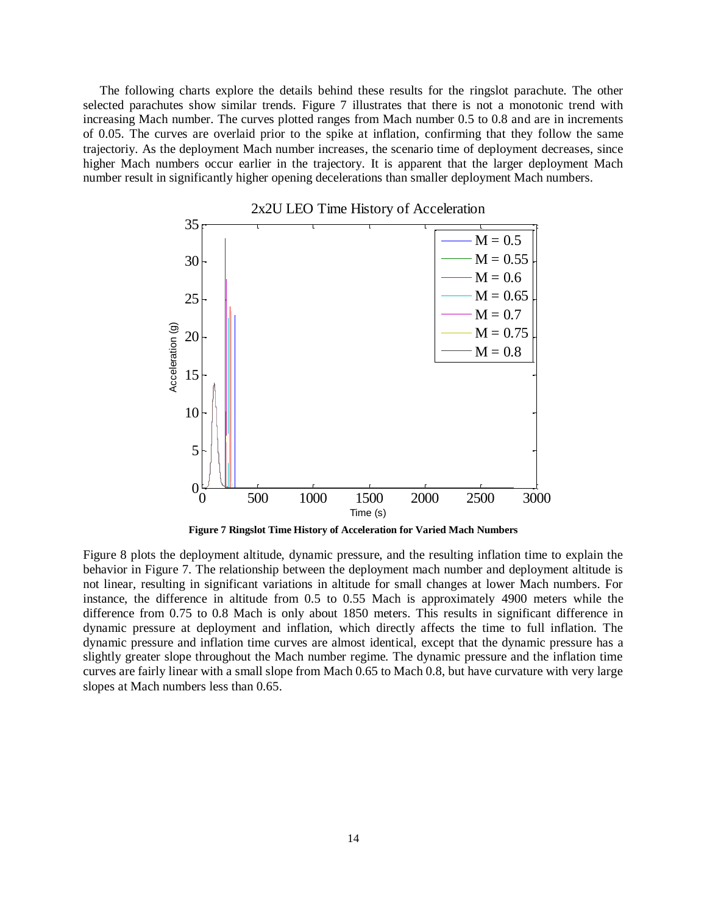The following charts explore the details behind these results for the ringslot parachute. The other selected parachutes show similar trends. [Figure 7](#page-13-0) illustrates that there is not a monotonic trend with increasing Mach number. The curves plotted ranges from Mach number 0.5 to 0.8 and are in increments of 0.05. The curves are overlaid prior to the spike at inflation, confirming that they follow the same trajectoriy. As the deployment Mach number increases, the scenario time of deployment decreases, since higher Mach numbers occur earlier in the trajectory. It is apparent that the larger deployment Mach number result in significantly higher opening decelerations than smaller deployment Mach numbers.



**Figure 7 Ringslot Time History of Acceleration for Varied Mach Numbers**

<span id="page-13-0"></span>[Figure 8](#page-14-0) plots the deployment altitude, dynamic pressure, and the resulting inflation time to explain the behavior in [Figure 7.](#page-13-0) The relationship between the deployment mach number and deployment altitude is not linear, resulting in significant variations in altitude for small changes at lower Mach numbers. For instance, the difference in altitude from 0.5 to 0.55 Mach is approximately 4900 meters while the difference from 0.75 to 0.8 Mach is only about 1850 meters. This results in significant difference in dynamic pressure at deployment and inflation, which directly affects the time to full inflation. The dynamic pressure and inflation time curves are almost identical, except that the dynamic pressure has a slightly greater slope throughout the Mach number regime. The dynamic pressure and the inflation time curves are fairly linear with a small slope from Mach 0.65 to Mach 0.8, but have curvature with very large slopes at Mach numbers less than 0.65.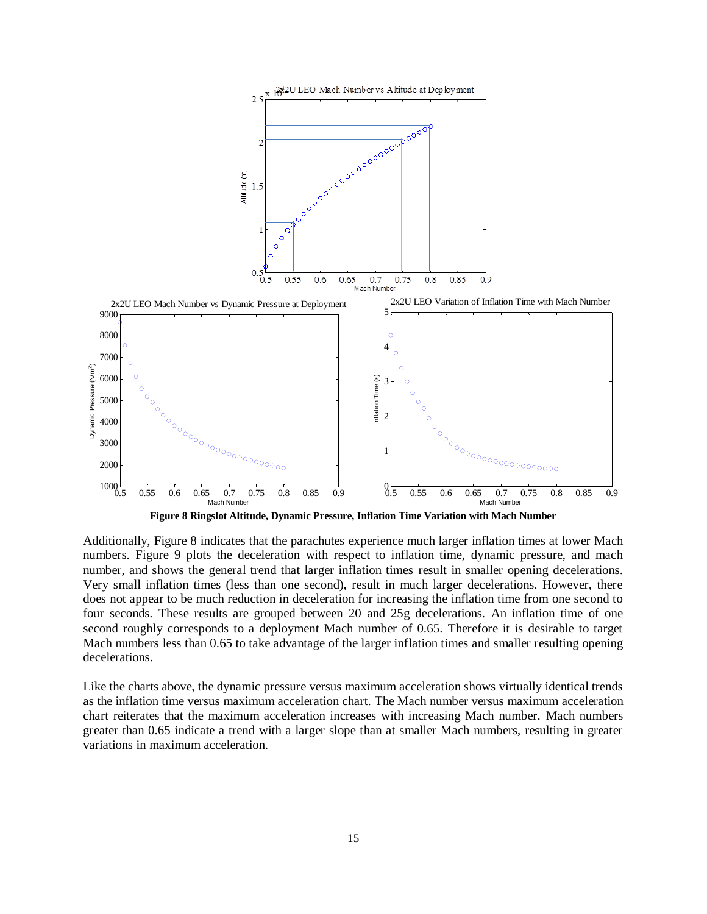

**Figure 8 Ringslot Altitude, Dynamic Pressure, Inflation Time Variation with Mach Number**

<span id="page-14-0"></span>Additionally, [Figure 8](#page-14-0) indicates that the parachutes experience much larger inflation times at lower Mach numbers. [Figure 9](#page-15-1) plots the deceleration with respect to inflation time, dynamic pressure, and mach number, and shows the general trend that larger inflation times result in smaller opening decelerations. Very small inflation times (less than one second), result in much larger decelerations. However, there does not appear to be much reduction in deceleration for increasing the inflation time from one second to four seconds. These results are grouped between 20 and 25g decelerations. An inflation time of one second roughly corresponds to a deployment Mach number of 0.65. Therefore it is desirable to target Mach numbers less than 0.65 to take advantage of the larger inflation times and smaller resulting opening decelerations.

Like the charts above, the dynamic pressure versus maximum acceleration shows virtually identical trends as the inflation time versus maximum acceleration chart. The Mach number versus maximum acceleration chart reiterates that the maximum acceleration increases with increasing Mach number. Mach numbers greater than 0.65 indicate a trend with a larger slope than at smaller Mach numbers, resulting in greater variations in maximum acceleration.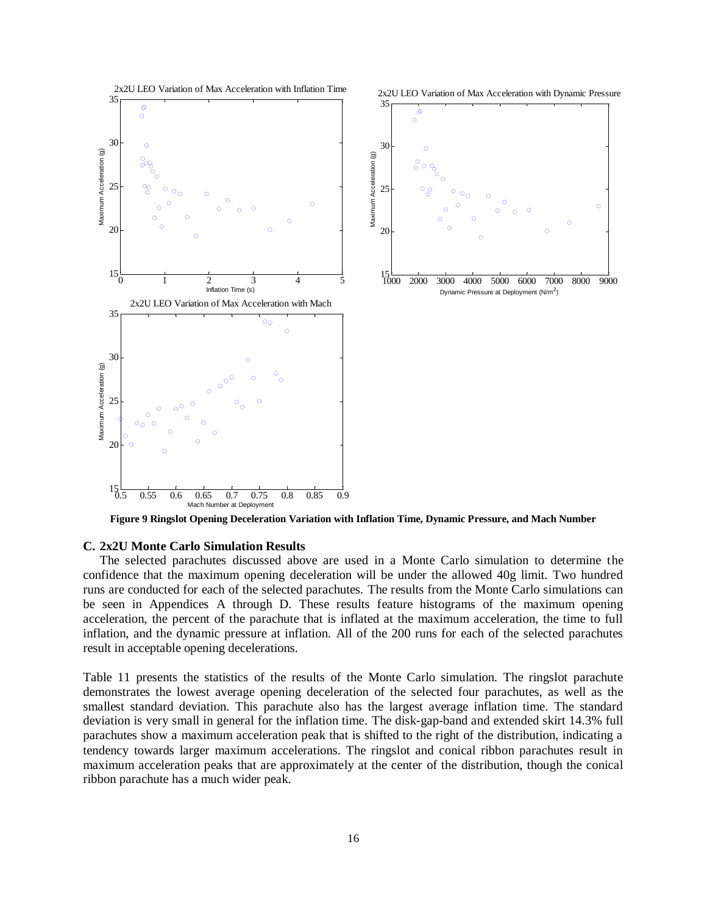

**Figure 9 Ringslot Opening Deceleration Variation with Inflation Time, Dynamic Pressure, and Mach Number**

#### <span id="page-15-1"></span><span id="page-15-0"></span>**C. 2x2U Monte Carlo Simulation Results**

The selected parachutes discussed above are used in a Monte Carlo simulation to determine the confidence that the maximum opening deceleration will be under the allowed 40g limit. Two hundred runs are conducted for each of the selected parachutes. The results from the Monte Carlo simulations can be seen in Appendices A through D. These results feature histograms of the maximum opening acceleration, the percent of the parachute that is inflated at the maximum acceleration, the time to full inflation, and the dynamic pressure at inflation. All of the 200 runs for each of the selected parachutes result in acceptable opening decelerations.

[Table 11](#page-16-3) presents the statistics of the results of the Monte Carlo simulation. The ringslot parachute demonstrates the lowest average opening deceleration of the selected four parachutes, as well as the smallest standard deviation. This parachute also has the largest average inflation time. The standard deviation is very small in general for the inflation time. The disk-gap-band and extended skirt 14.3% full parachutes show a maximum acceleration peak that is shifted to the right of the distribution, indicating a tendency towards larger maximum accelerations. The ringslot and conical ribbon parachutes result in maximum acceleration peaks that are approximately at the center of the distribution, though the conical ribbon parachute has a much wider peak.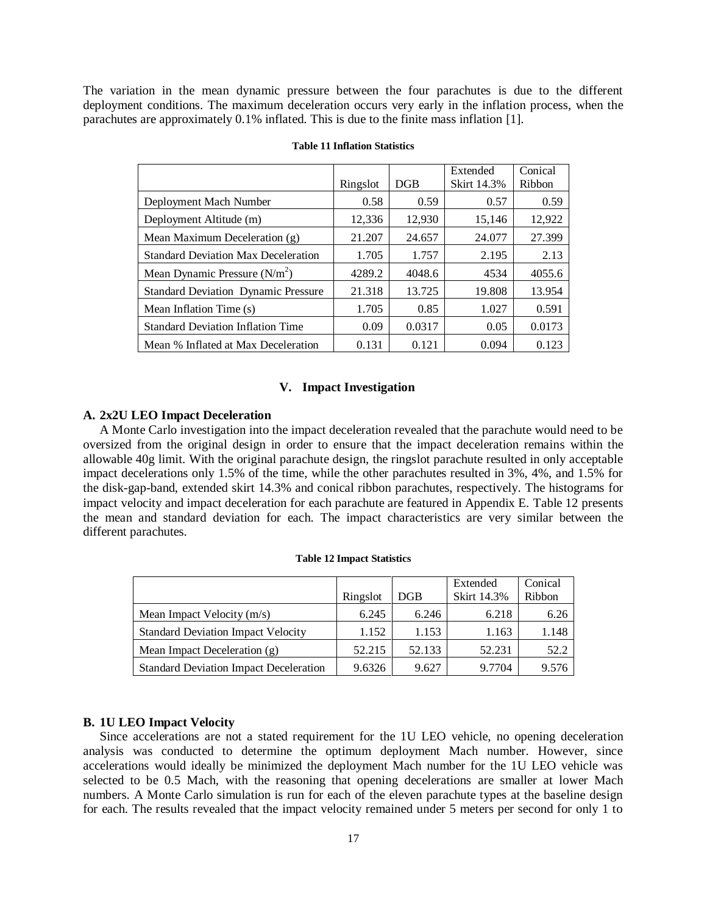<span id="page-16-3"></span>The variation in the mean dynamic pressure between the four parachutes is due to the different deployment conditions. The maximum deceleration occurs very early in the inflation process, when the parachutes are approximately 0.1% inflated. This is due to the finite mass inflation [1].

|                                            | Ringslot | DGB    | Extended<br><b>Skirt 14.3%</b> | Conical<br>Ribbon |
|--------------------------------------------|----------|--------|--------------------------------|-------------------|
| Deployment Mach Number                     | 0.58     | 0.59   | 0.57                           | 0.59              |
| Deployment Altitude (m)                    | 12,336   | 12,930 | 15,146                         | 12,922            |
| Mean Maximum Deceleration (g)              | 21.207   | 24.657 | 24.077                         | 27.399            |
| <b>Standard Deviation Max Deceleration</b> | 1.705    | 1.757  | 2.195                          | 2.13              |
| Mean Dynamic Pressure $(N/m2)$             | 4289.2   | 4048.6 | 4534                           | 4055.6            |
| <b>Standard Deviation Dynamic Pressure</b> | 21.318   | 13.725 | 19.808                         | 13.954            |
| Mean Inflation Time (s)                    | 1.705    | 0.85   | 1.027                          | 0.591             |
| <b>Standard Deviation Inflation Time</b>   | 0.09     | 0.0317 | 0.05                           | 0.0173            |
| Mean % Inflated at Max Deceleration        | 0.131    | 0.121  | 0.094                          | 0.123             |

#### **Table 11 Inflation Statistics**

### **V. Impact Investigation**

#### <span id="page-16-1"></span><span id="page-16-0"></span>**A. 2x2U LEO Impact Deceleration**

A Monte Carlo investigation into the impact deceleration revealed that the parachute would need to be oversized from the original design in order to ensure that the impact deceleration remains within the allowable 40g limit. With the original parachute design, the ringslot parachute resulted in only acceptable impact decelerations only 1.5% of the time, while the other parachutes resulted in 3%, 4%, and 1.5% for the disk-gap-band, extended skirt 14.3% and conical ribbon parachutes, respectively. The histograms for impact velocity and impact deceleration for each parachute are featured in Appendix E. [Table 12](#page-16-4) presents the mean and standard deviation for each. The impact characteristics are very similar between the different parachutes.

<span id="page-16-4"></span>

|                                               | Ringslot | DGB    | Extended<br><b>Skirt 14.3%</b> | Conical<br>Ribbon |
|-----------------------------------------------|----------|--------|--------------------------------|-------------------|
| Mean Impact Velocity (m/s)                    | 6.245    | 6.246  | 6.218                          | 6.26              |
| <b>Standard Deviation Impact Velocity</b>     | 1.152    | 1.153  | 1.163                          | 1.148             |
| Mean Impact Deceleration (g)                  | 52.215   | 52.133 | 52.231                         | 52.2              |
| <b>Standard Deviation Impact Deceleration</b> | 9.6326   | 9.627  | 9.7704                         | 9.576             |

#### **Table 12 Impact Statistics**

#### <span id="page-16-2"></span>**B. 1U LEO Impact Velocity**

Since accelerations are not a stated requirement for the 1U LEO vehicle, no opening deceleration analysis was conducted to determine the optimum deployment Mach number. However, since accelerations would ideally be minimized the deployment Mach number for the 1U LEO vehicle was selected to be 0.5 Mach, with the reasoning that opening decelerations are smaller at lower Mach numbers. A Monte Carlo simulation is run for each of the eleven parachute types at the baseline design for each. The results revealed that the impact velocity remained under 5 meters per second for only 1 to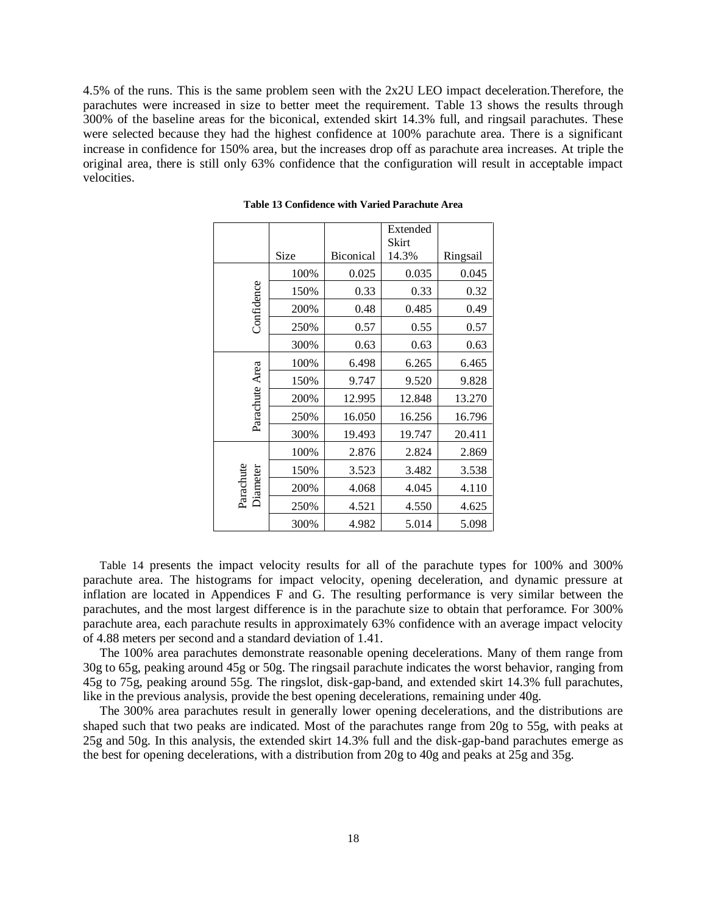<span id="page-17-0"></span>4.5% of the runs. This is the same problem seen with the 2x2U LEO impact deceleration.Therefore, the parachutes were increased in size to better meet the requirement. [Table 13](#page-17-0) shows the results through 300% of the baseline areas for the biconical, extended skirt 14.3% full, and ringsail parachutes. These were selected because they had the highest confidence at 100% parachute area. There is a significant increase in confidence for 150% area, but the increases drop off as parachute area increases. At triple the original area, there is still only 63% confidence that the configuration will result in acceptable impact velocities.

|                       |      |                  | Extended<br>Skirt |          |
|-----------------------|------|------------------|-------------------|----------|
|                       | Size | <b>Biconical</b> | 14.3%             | Ringsail |
|                       | 100% | 0.025            | 0.035             | 0.045    |
| Confidence            | 150% | 0.33             | 0.33              | 0.32     |
|                       | 200% | 0.48             | 0.485             | 0.49     |
|                       | 250% | 0.57             | 0.55              | 0.57     |
|                       | 300% | 0.63             | 0.63              | 0.63     |
|                       | 100% | 6.498            | 6.265             | 6.465    |
|                       | 150% | 9.747            | 9.520             | 9.828    |
| Parachute Area        | 200% | 12.995           | 12.848            | 13.270   |
|                       | 250% | 16.050           | 16.256            | 16.796   |
|                       | 300% | 19.493           | 19.747            | 20.411   |
|                       | 100% | 2.876            | 2.824             | 2.869    |
|                       | 150% | 3.523            | 3.482             | 3.538    |
| Parachute<br>Diameter | 200% | 4.068            | 4.045             | 4.110    |
|                       | 250% | 4.521            | 4.550             | 4.625    |
|                       | 300% | 4.982            | 5.014             | 5.098    |

**Table 13 Confidence with Varied Parachute Area**

[Table 14](#page-18-2) presents the impact velocity results for all of the parachute types for 100% and 300% parachute area. The histograms for impact velocity, opening deceleration, and dynamic pressure at inflation are located in Appendices F and G. The resulting performance is very similar between the parachutes, and the most largest difference is in the parachute size to obtain that perforamce. For 300% parachute area, each parachute results in approximately 63% confidence with an average impact velocity of 4.88 meters per second and a standard deviation of 1.41.

The 100% area parachutes demonstrate reasonable opening decelerations. Many of them range from 30g to 65g, peaking around 45g or 50g. The ringsail parachute indicates the worst behavior, ranging from 45g to 75g, peaking around 55g. The ringslot, disk-gap-band, and extended skirt 14.3% full parachutes, like in the previous analysis, provide the best opening decelerations, remaining under 40g.

The 300% area parachutes result in generally lower opening decelerations, and the distributions are shaped such that two peaks are indicated. Most of the parachutes range from 20g to 55g, with peaks at 25g and 50g. In this analysis, the extended skirt 14.3% full and the disk-gap-band parachutes emerge as the best for opening decelerations, with a distribution from 20g to 40g and peaks at 25g and 35g.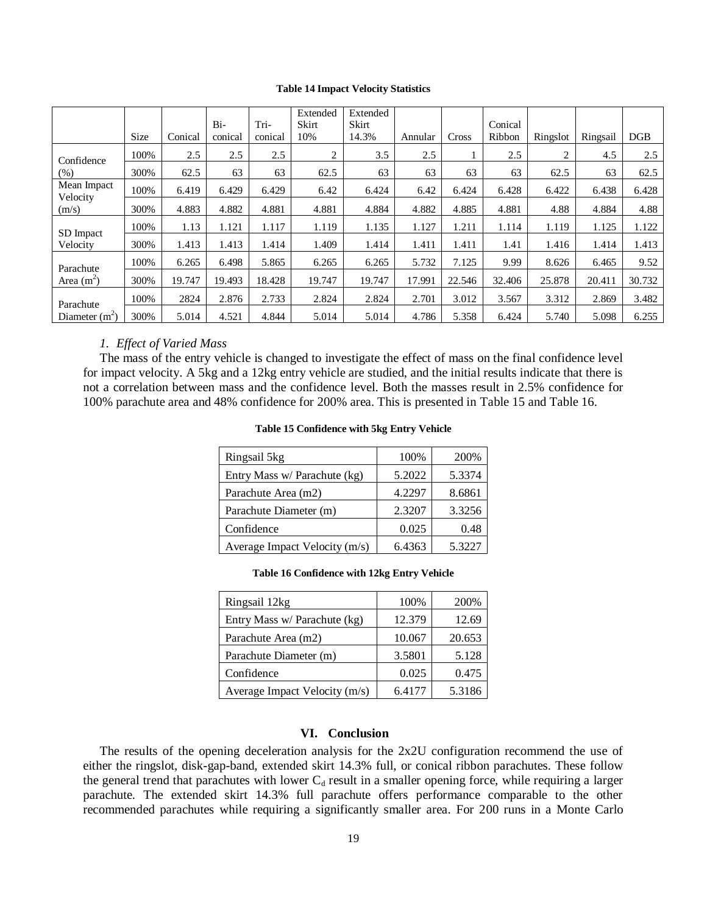#### **Table 14 Impact Velocity Statistics**

<span id="page-18-2"></span>

|                         |      |         |         |         | Extended | Extended |         |        |         |          |          |        |
|-------------------------|------|---------|---------|---------|----------|----------|---------|--------|---------|----------|----------|--------|
|                         |      |         | Bi-     | Tri-    | Skirt    | Skirt    |         |        | Conical |          |          |        |
|                         | Size | Conical | conical | conical | 10%      | 14.3%    | Annular | Cross  | Ribbon  | Ringslot | Ringsail | DGB    |
| Confidence              | 100% | 2.5     | 2.5     | 2.5     | 2        | 3.5      | 2.5     |        | 2.5     | 2        | 4.5      | 2.5    |
| (% )                    | 300% | 62.5    | 63      | 63      | 62.5     | 63       | 63      | 63     | 63      | 62.5     | 63       | 62.5   |
| Mean Impact<br>Velocity | 100% | 6.419   | 6.429   | 6.429   | 6.42     | 6.424    | 6.42    | 6.424  | 6.428   | 6.422    | 6.438    | 6.428  |
| (m/s)                   | 300% | 4.883   | 4.882   | 4.881   | 4.881    | 4.884    | 4.882   | 4.885  | 4.881   | 4.88     | 4.884    | 4.88   |
| SD Impact               | 100% | 1.13    | 1.121   | 1.117   | 1.119    | 1.135    | 1.127   | 1.211  | 1.114   | 1.119    | 1.125    | 1.122  |
| Velocity                | 300% | 1.413   | 1.413   | 1.414   | 1.409    | 1.414    | 1.411   | 1.411  | 1.41    | 1.416    | 1.414    | 1.413  |
| Parachute               | 100% | 6.265   | 6.498   | 5.865   | 6.265    | 6.265    | 5.732   | 7.125  | 9.99    | 8.626    | 6.465    | 9.52   |
| Area $(m^2)$            | 300% | 19.747  | 19.493  | 18.428  | 19.747   | 19.747   | 17.991  | 22.546 | 32.406  | 25.878   | 20.411   | 30.732 |
| Parachute               | 100% | 2824    | 2.876   | 2.733   | 2.824    | 2.824    | 2.701   | 3.012  | 3.567   | 3.312    | 2.869    | 3.482  |
| Diameter $(m2)$         | 300% | 5.014   | 4.521   | 4.844   | 5.014    | 5.014    | 4.786   | 5.358  | 6.424   | 5.740    | 5.098    | 6.255  |

#### *1. Effect of Varied Mass*

<span id="page-18-3"></span><span id="page-18-0"></span>The mass of the entry vehicle is changed to investigate the effect of mass on the final confidence level for impact velocity. A 5kg and a 12kg entry vehicle are studied, and the initial results indicate that there is not a correlation between mass and the confidence level. Both the masses result in 2.5% confidence for 100% parachute area and 48% confidence for 200% area. This is presented in [Table 15](#page-18-3) and [Table 16.](#page-18-4)

| Ringsail 5kg                  | 100%   | 200%   |
|-------------------------------|--------|--------|
| Entry Mass w/ Parachute (kg)  | 5.2022 | 5.3374 |
| Parachute Area (m2)           | 4.2297 | 8.6861 |
| Parachute Diameter (m)        | 2.3207 | 3.3256 |
| Confidence                    | 0.025  | 0.48   |
| Average Impact Velocity (m/s) | 6.4363 | 5.3227 |

#### **Table 15 Confidence with 5kg Entry Vehicle**

#### **Table 16 Confidence with 12kg Entry Vehicle**

<span id="page-18-4"></span>

| Ringsail 12kg                 | 100%   | 200%   |
|-------------------------------|--------|--------|
| Entry Mass w/ Parachute (kg)  | 12.379 | 12.69  |
| Parachute Area (m2)           | 10.067 | 20.653 |
| Parachute Diameter (m)        | 3.5801 | 5.128  |
| Confidence                    | 0.025  | 0.475  |
| Average Impact Velocity (m/s) | 6.4177 | 5.3186 |

#### **VI. Conclusion**

<span id="page-18-1"></span>The results of the opening deceleration analysis for the 2x2U configuration recommend the use of either the ringslot, disk-gap-band, extended skirt 14.3% full, or conical ribbon parachutes. These follow the general trend that parachutes with lower  $C_d$  result in a smaller opening force, while requiring a larger parachute. The extended skirt 14.3% full parachute offers performance comparable to the other recommended parachutes while requiring a significantly smaller area. For 200 runs in a Monte Carlo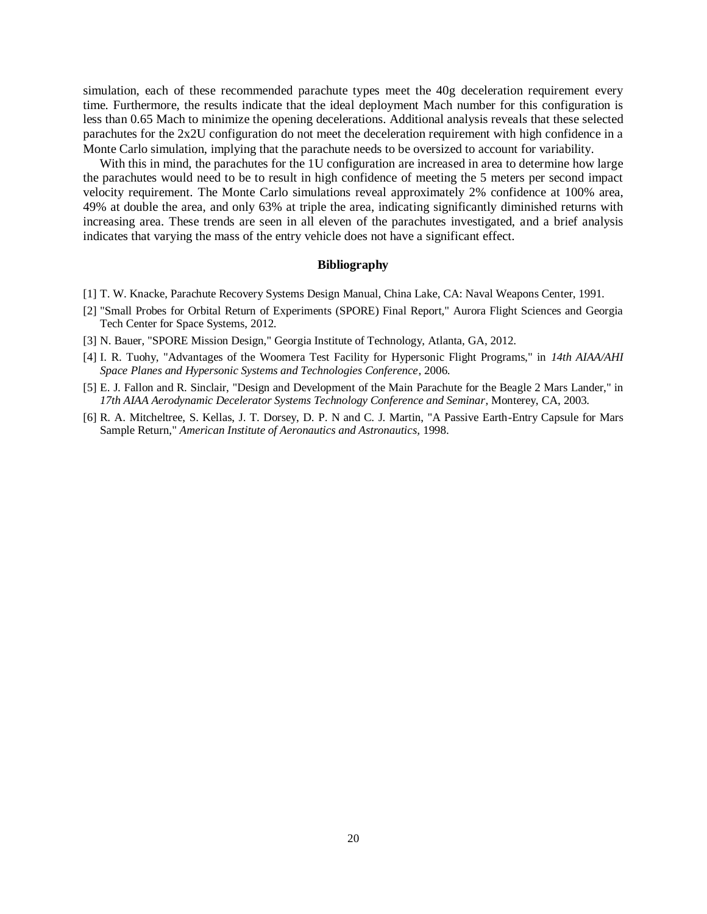simulation, each of these recommended parachute types meet the 40g deceleration requirement every time. Furthermore, the results indicate that the ideal deployment Mach number for this configuration is less than 0.65 Mach to minimize the opening decelerations. Additional analysis reveals that these selected parachutes for the 2x2U configuration do not meet the deceleration requirement with high confidence in a Monte Carlo simulation, implying that the parachute needs to be oversized to account for variability.

With this in mind, the parachutes for the 1U configuration are increased in area to determine how large the parachutes would need to be to result in high confidence of meeting the 5 meters per second impact velocity requirement. The Monte Carlo simulations reveal approximately 2% confidence at 100% area, 49% at double the area, and only 63% at triple the area, indicating significantly diminished returns with increasing area. These trends are seen in all eleven of the parachutes investigated, and a brief analysis indicates that varying the mass of the entry vehicle does not have a significant effect.

#### **Bibliography**

- [1] T. W. Knacke, Parachute Recovery Systems Design Manual, China Lake, CA: Naval Weapons Center, 1991.
- [2] "Small Probes for Orbital Return of Experiments (SPORE) Final Report," Aurora Flight Sciences and Georgia Tech Center for Space Systems, 2012.
- [3] N. Bauer, "SPORE Mission Design," Georgia Institute of Technology, Atlanta, GA, 2012.
- [4] I. R. Tuohy, "Advantages of the Woomera Test Facility for Hypersonic Flight Programs," in *14th AIAA/AHI Space Planes and Hypersonic Systems and Technologies Conference*, 2006.
- [5] E. J. Fallon and R. Sinclair, "Design and Development of the Main Parachute for the Beagle 2 Mars Lander," in *17th AIAA Aerodynamic Decelerator Systems Technology Conference and Seminar*, Monterey, CA, 2003.
- [6] R. A. Mitcheltree, S. Kellas, J. T. Dorsey, D. P. N and C. J. Martin, "A Passive Earth-Entry Capsule for Mars Sample Return," *American Institute of Aeronautics and Astronautics,* 1998.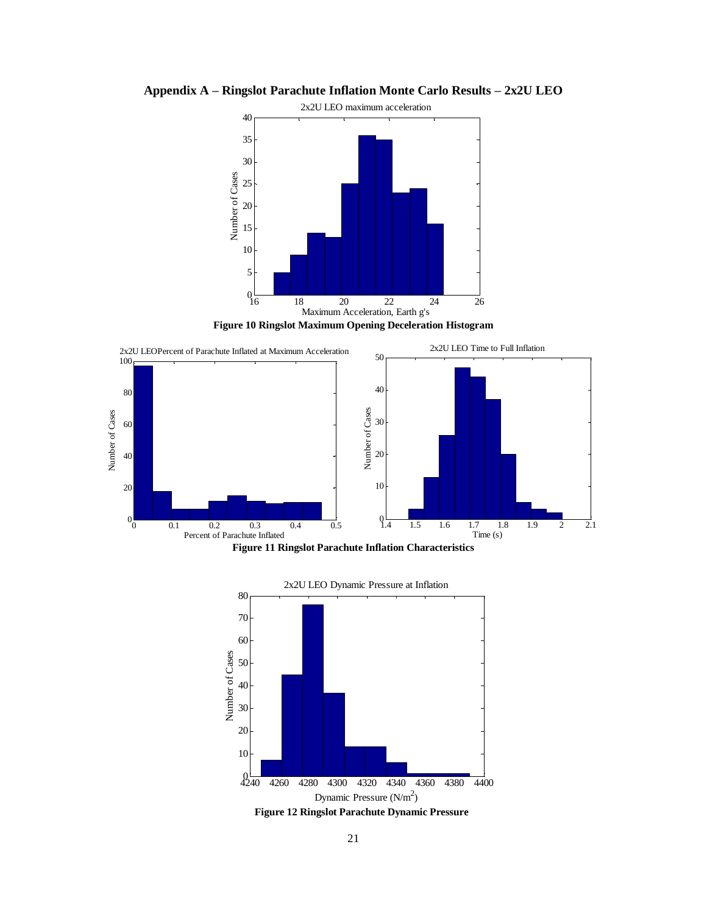

<span id="page-20-0"></span>**Appendix A – Ringslot Parachute Inflation Monte Carlo Results – 2x2U LEO**



<span id="page-20-1"></span>



<span id="page-20-3"></span><span id="page-20-2"></span>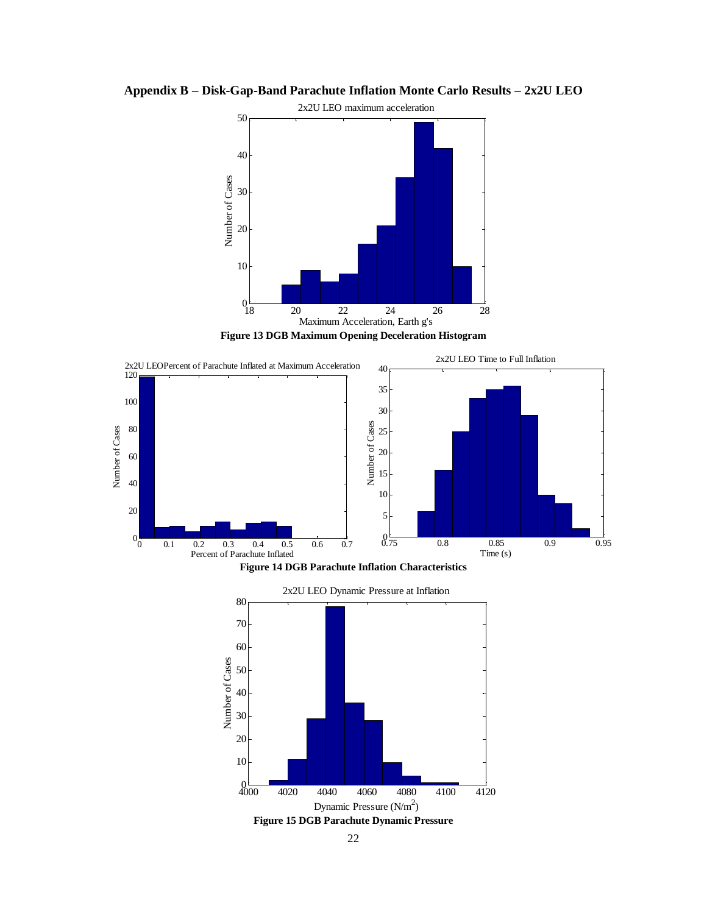

<span id="page-21-0"></span>**Appendix B – Disk-Gap-Band Parachute Inflation Monte Carlo Results – 2x2U LEO**



<span id="page-21-1"></span>



<span id="page-21-3"></span><span id="page-21-2"></span>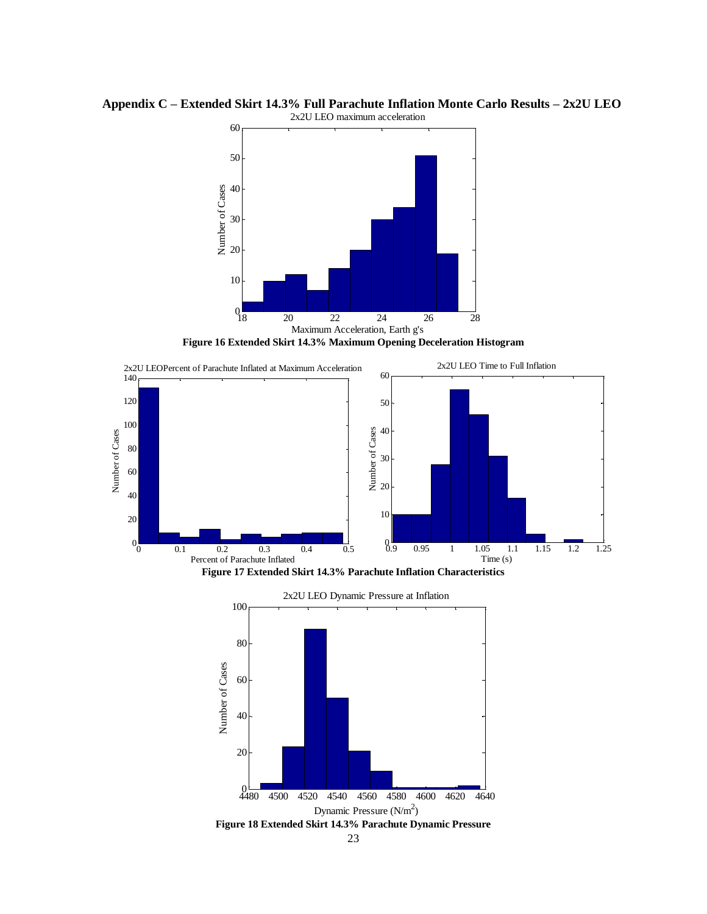

<span id="page-22-0"></span>**Appendix C – Extended Skirt 14.3% Full Parachute Inflation Monte Carlo Results – 2x2U LEO** 2x2U LEO maximum acceleration

**Figure 16 Extended Skirt 14.3% Maximum Opening Deceleration Histogram**

<span id="page-22-1"></span>

<span id="page-22-2"></span>

<span id="page-22-3"></span>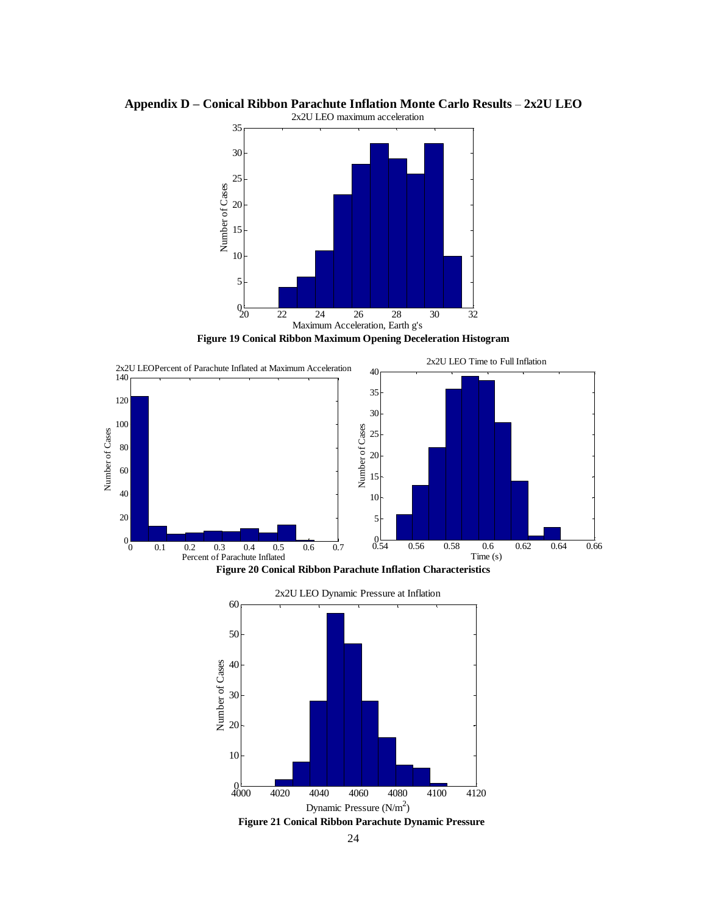

<span id="page-23-0"></span>**Appendix D – Conical Ribbon Parachute Inflation Monte Carlo Results** – **2x2U LEO**

**Figure 19 Conical Ribbon Maximum Opening Deceleration Histogram**

<span id="page-23-1"></span>

<span id="page-23-2"></span>

<span id="page-23-3"></span>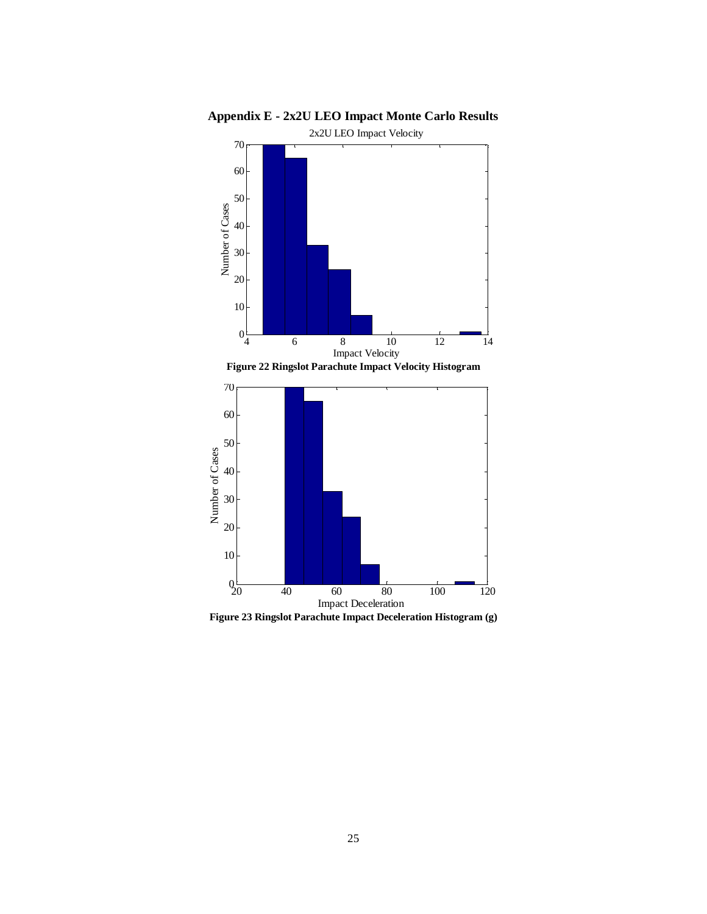<span id="page-24-1"></span>

<span id="page-24-0"></span>**Appendix E - 2x2U LEO Impact Monte Carlo Results**

<span id="page-24-2"></span>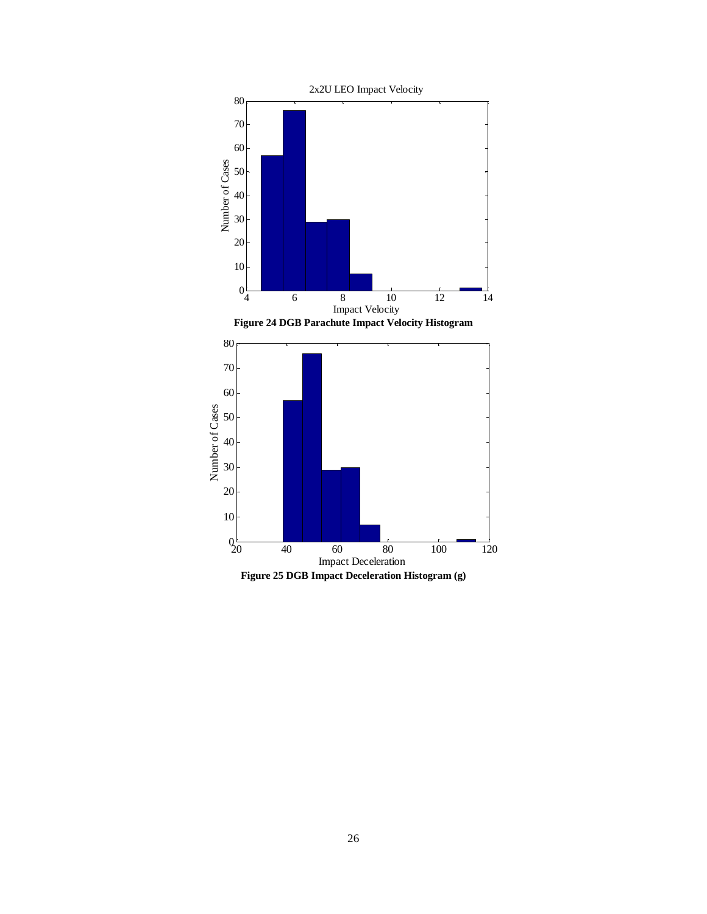<span id="page-25-1"></span><span id="page-25-0"></span>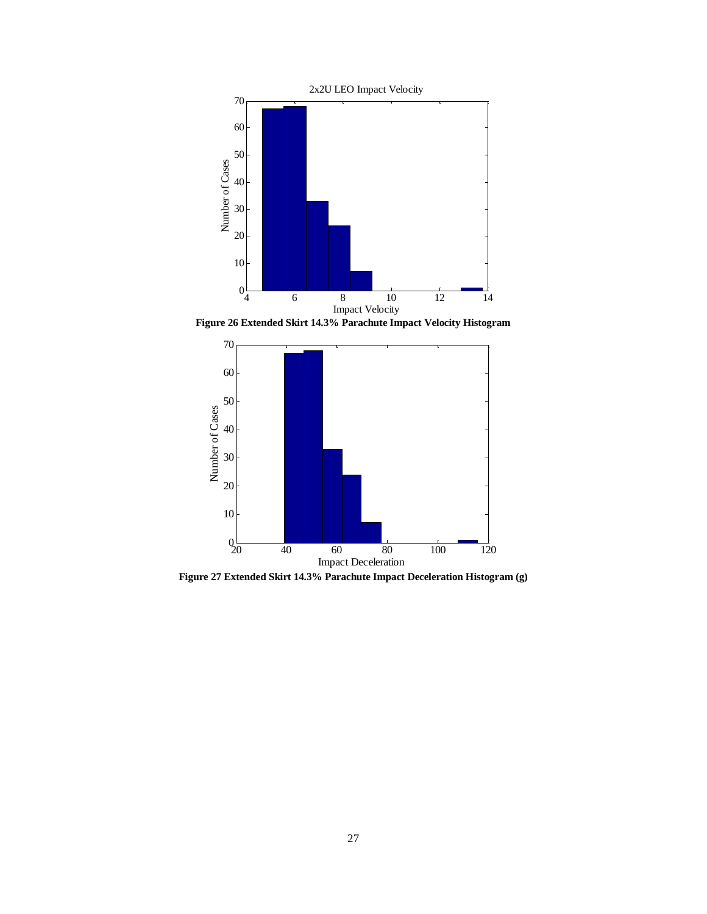

<span id="page-26-0"></span>**Figure 26 Extended Skirt 14.3% Parachute Impact Velocity Histogram**



<span id="page-26-1"></span>**Figure 27 Extended Skirt 14.3% Parachute Impact Deceleration Histogram (g)**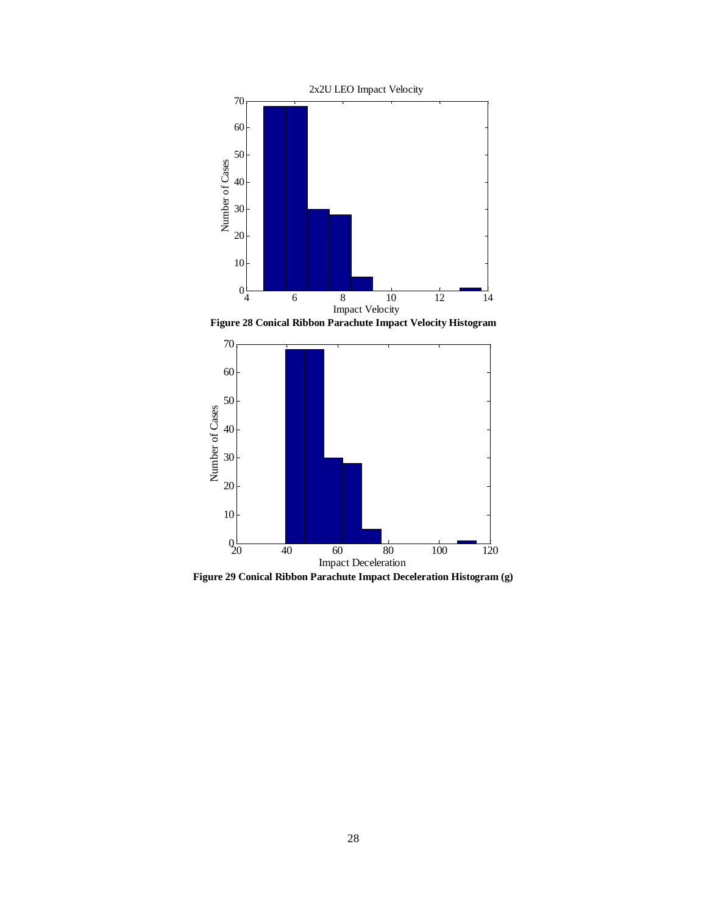

Figure 28 Conical Ribbon Parachute Impact Velocity Histogram<br> **222** 

<span id="page-27-0"></span>

<span id="page-27-1"></span>**Figure 29 Conical Ribbon Parachute Impact Deceleration Histogram (g)**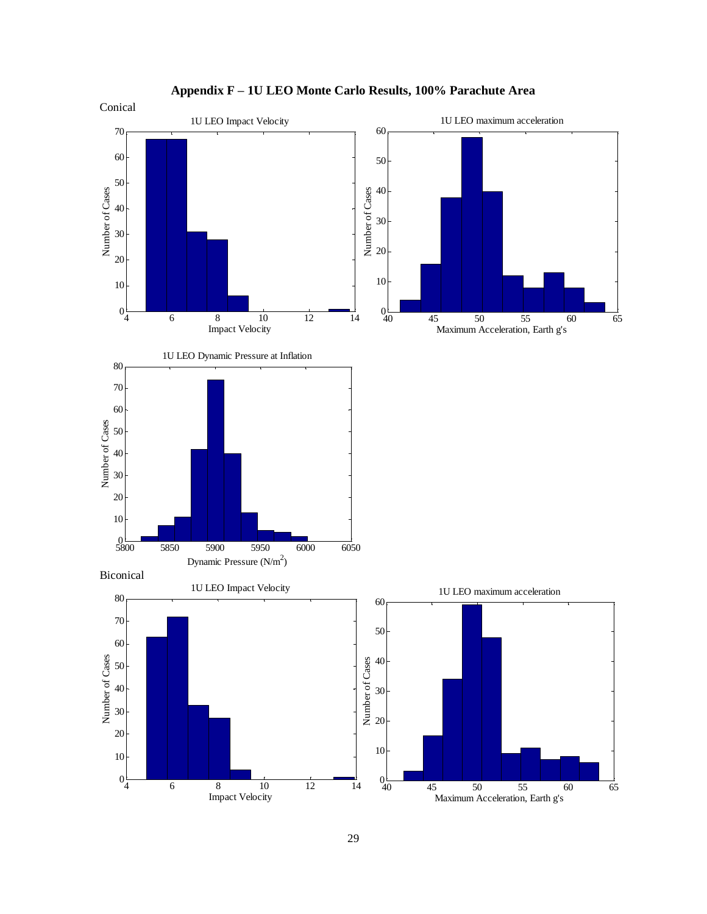<span id="page-28-0"></span>

**Appendix F – 1U LEO Monte Carlo Results, 100% Parachute Area**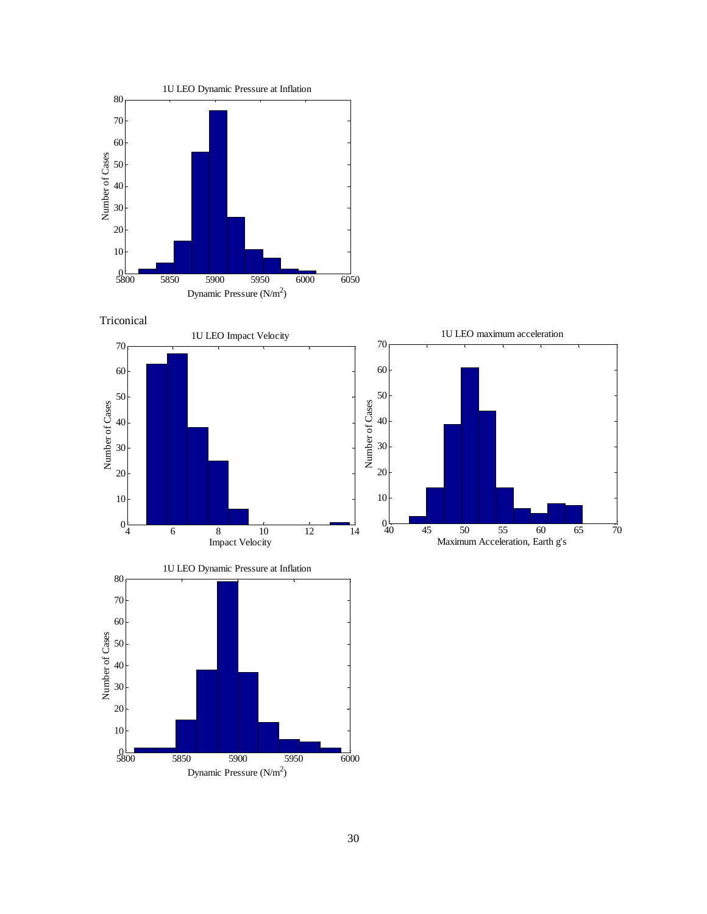

5850 5900 5950 6000

Dynamic Pressure (N/m<sup>2</sup>)



 $\frac{0}{5800}$ 

 

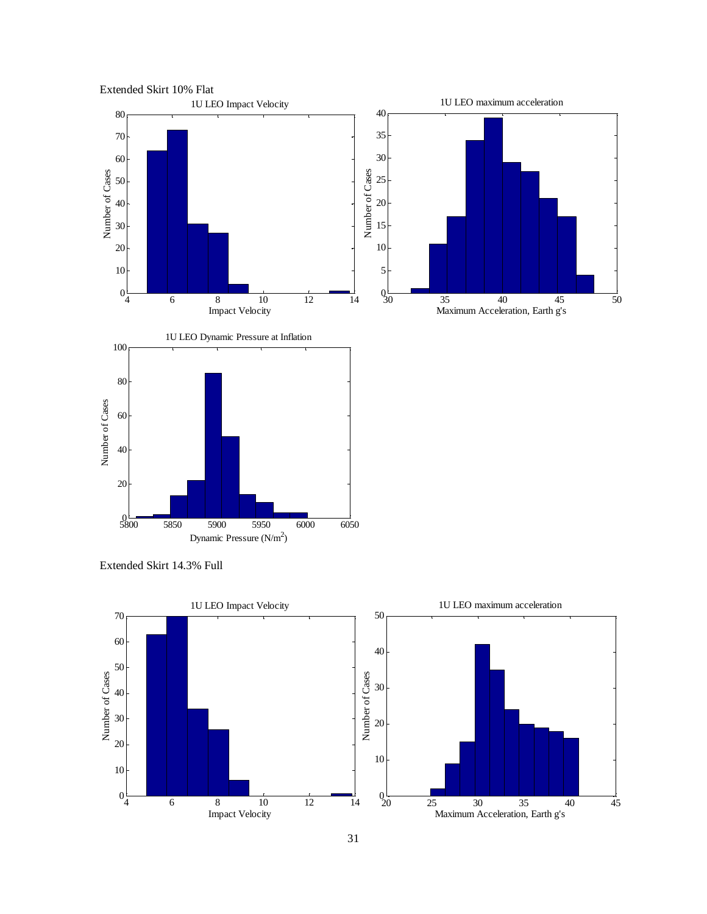

Extended Skirt 14.3% Full

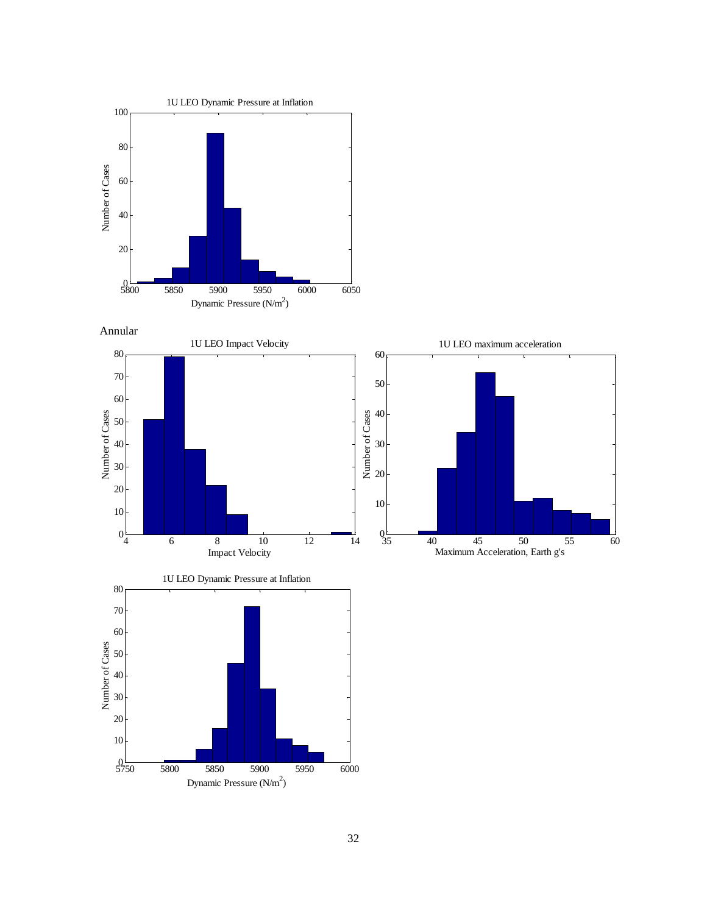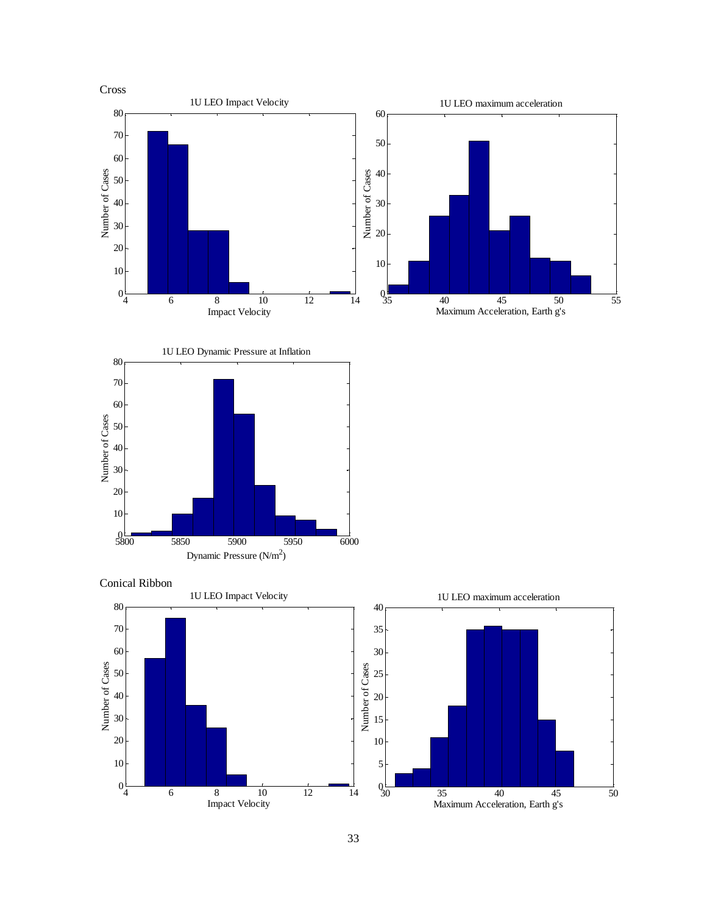



 $0\frac{1}{30}$ 

35 40 45 50

Maximum Acceleration, Earth g's

6 8 10 12 14

Impact Velocity

 $0\frac{1}{4}$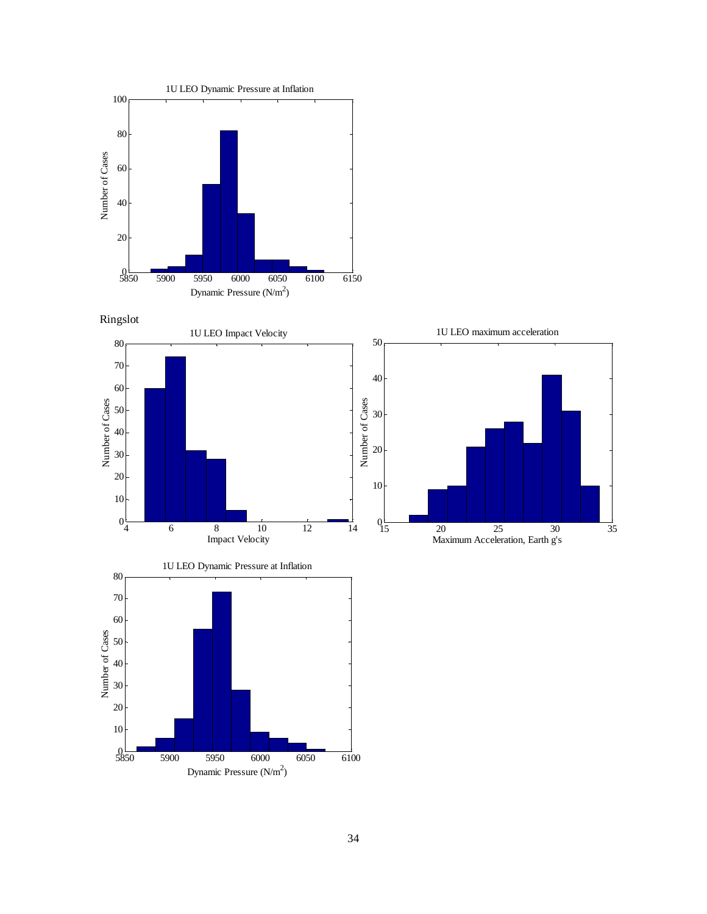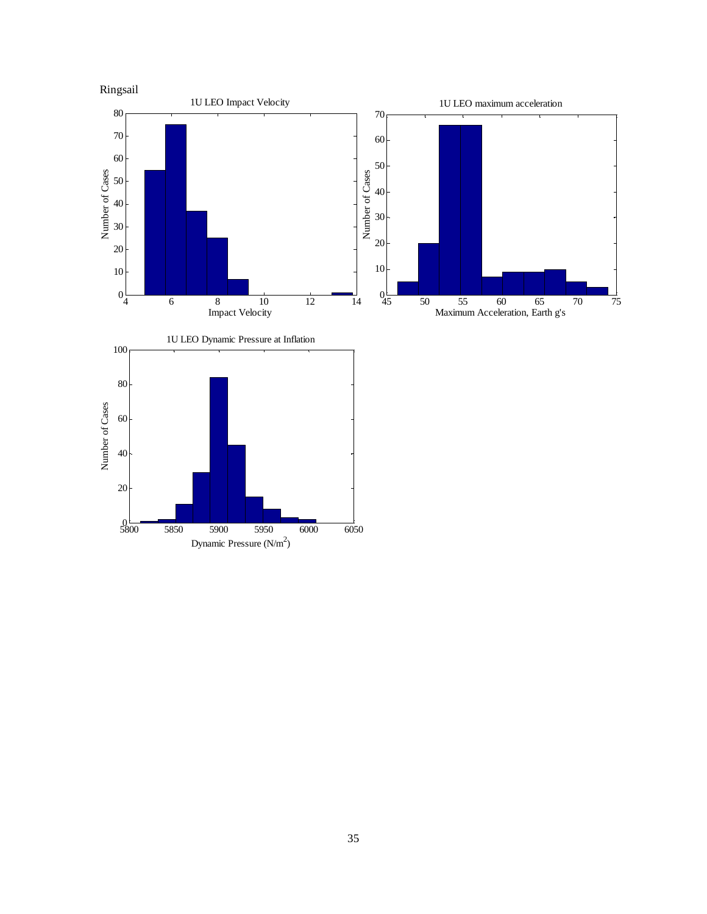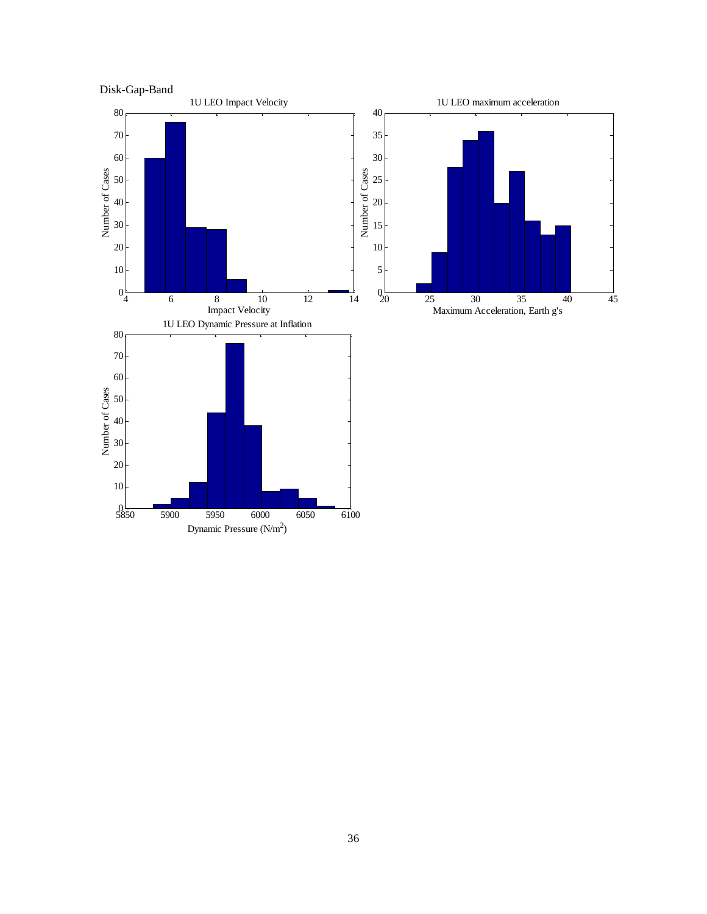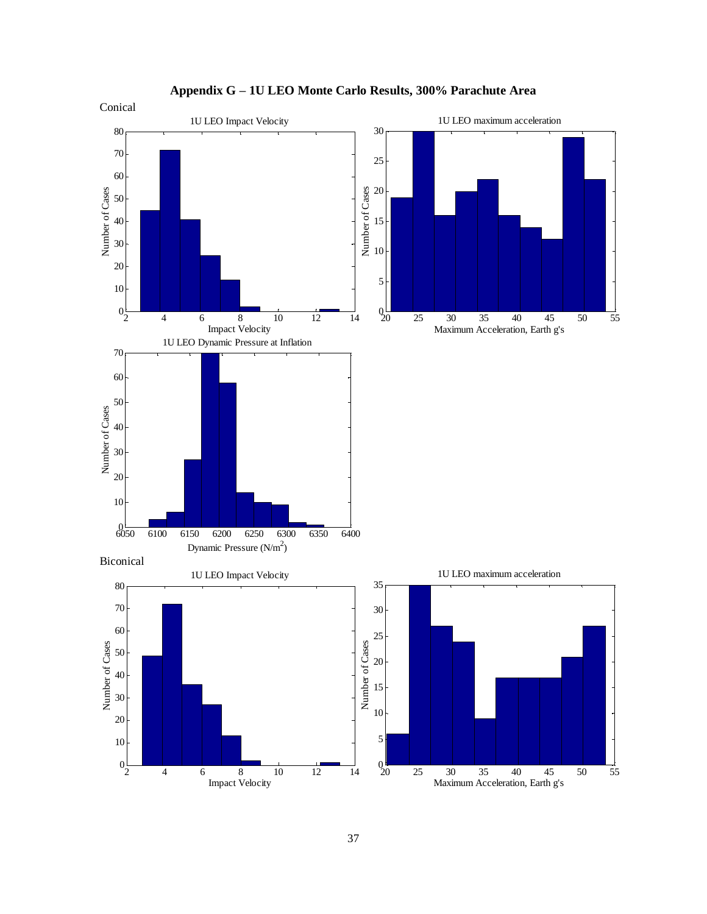<span id="page-36-0"></span>

**Appendix G – 1U LEO Monte Carlo Results, 300% Parachute Area**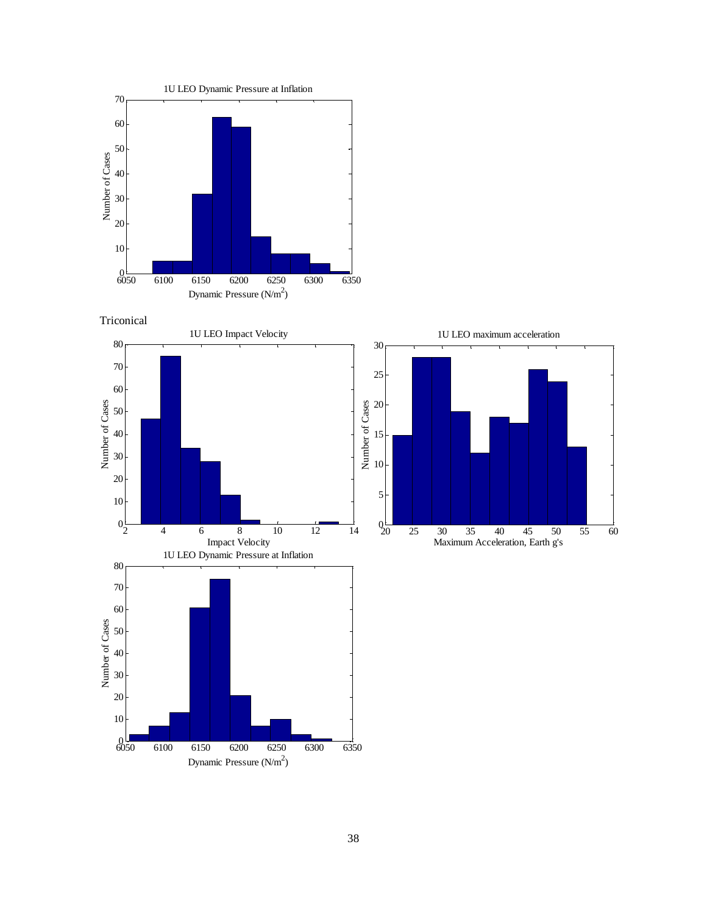



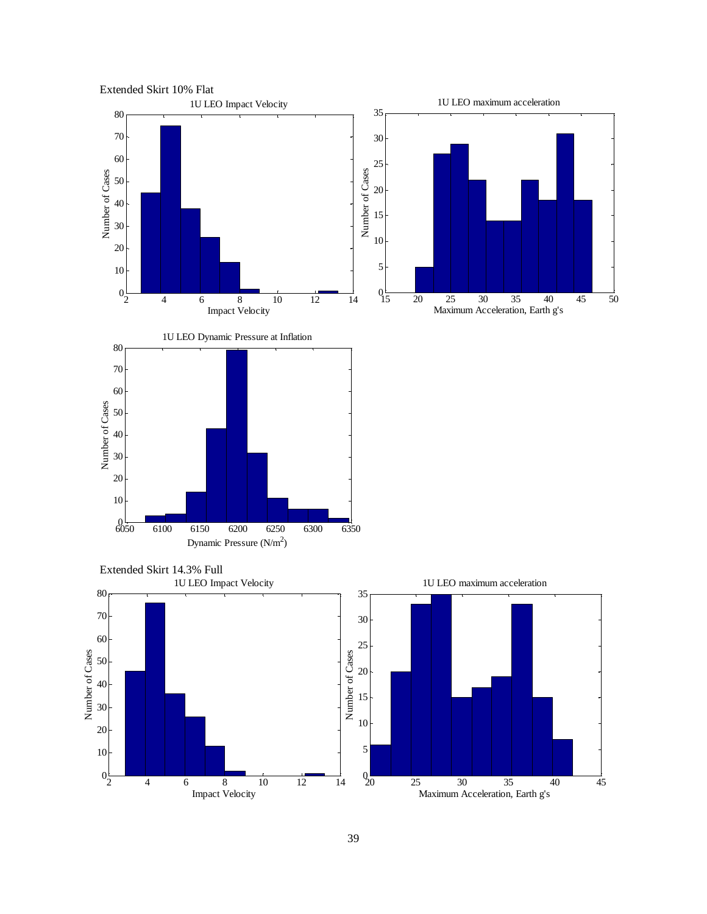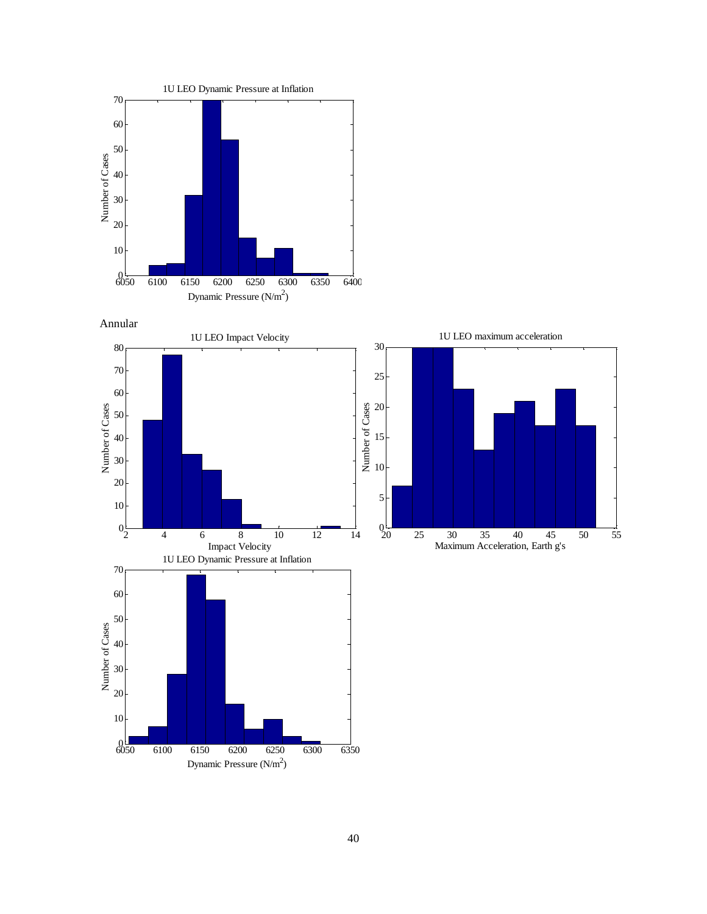

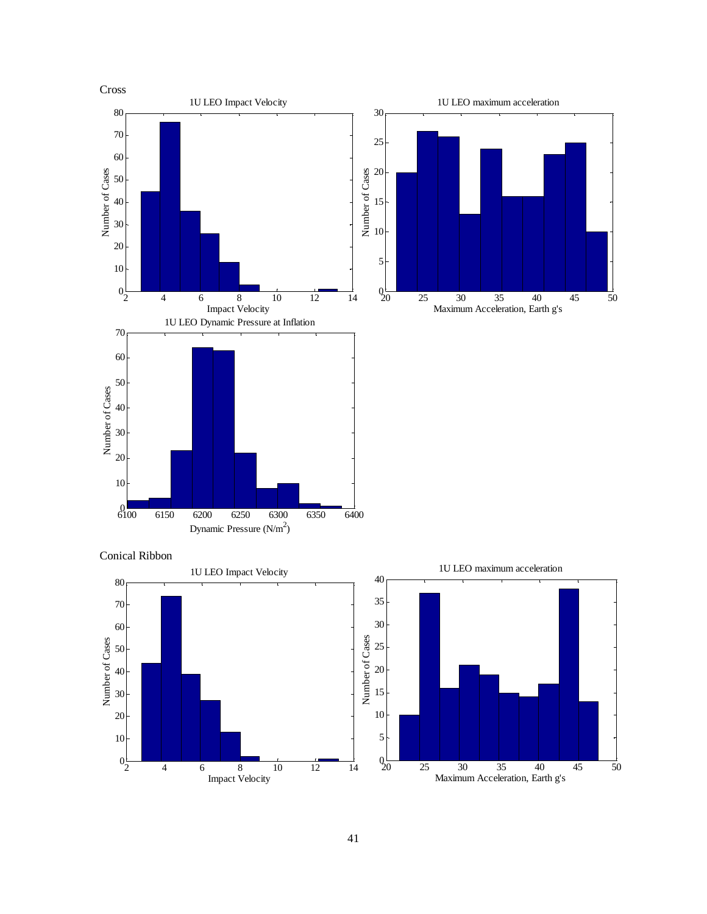

 $9\overline{0}$ 

25 30 35 40 45 50

Maximum Acceleration, Earth g's

4 6 8 10 12 14

Impact Velocity

 $0\frac{1}{2}$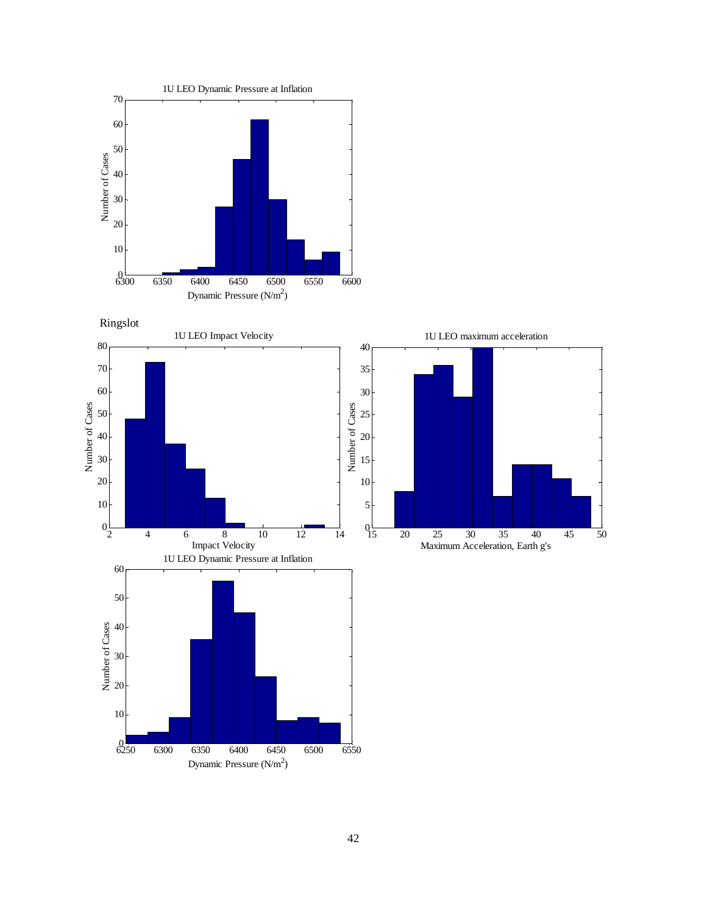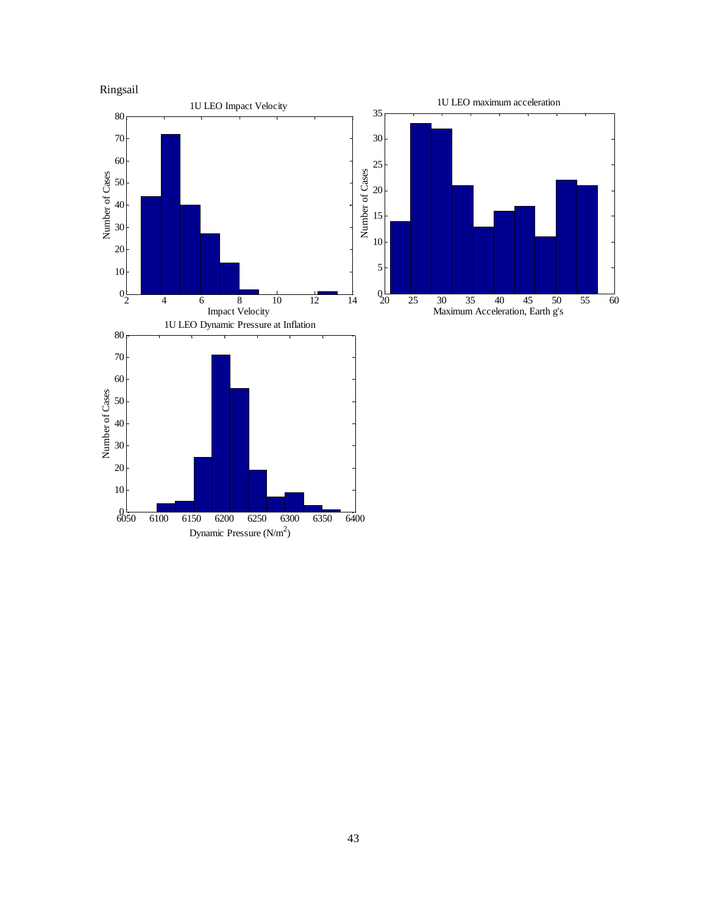